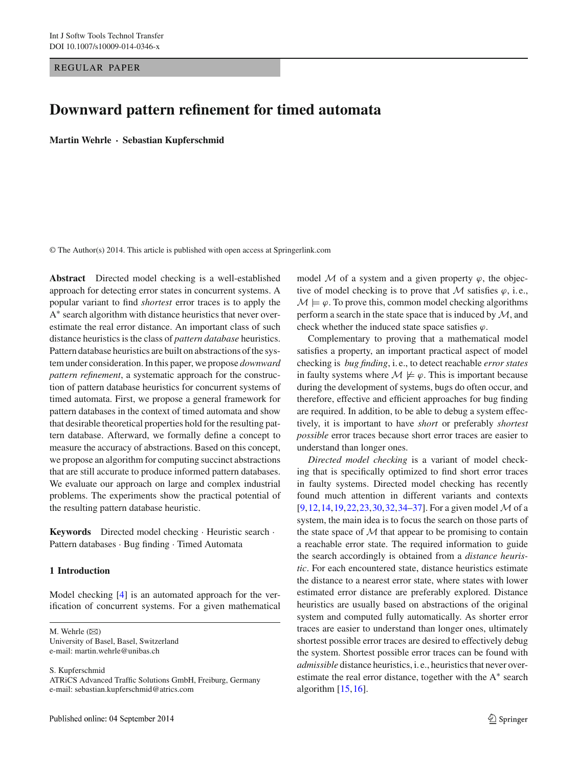## REGULAR PAPER

# **Downward pattern refinement for timed automata**

**Martin Wehrle · Sebastian Kupferschmid**

© The Author(s) 2014. This article is published with open access at Springerlink.com

**Abstract** Directed model checking is a well-established approach for detecting error states in concurrent systems. A popular variant to find *shortest* error traces is to apply the A<sup>\*</sup> search algorithm with distance heuristics that never overestimate the real error distance. An important class of such distance heuristics is the class of *pattern database* heuristics. Pattern database heuristics are built on abstractions of the system under consideration. In this paper, we propose *downward pattern refinement*, a systematic approach for the construction of pattern database heuristics for concurrent systems of timed automata. First, we propose a general framework for pattern databases in the context of timed automata and show that desirable theoretical properties hold for the resulting pattern database. Afterward, we formally define a concept to measure the accuracy of abstractions. Based on this concept, we propose an algorithm for computing succinct abstractions that are still accurate to produce informed pattern databases. We evaluate our approach on large and complex industrial problems. The experiments show the practical potential of the resulting pattern database heuristic.

**Keywords** Directed model checking · Heuristic search · Pattern databases · Bug finding · Timed Automata

# **1 Introduction**

Model checking [\[4](#page-14-0)] is an automated approach for the verification of concurrent systems. For a given mathematical

M. Wehrle  $(\boxtimes)$ University of Basel, Basel, Switzerland e-mail: martin.wehrle@unibas.ch

S. Kupferschmid

ATRiCS Advanced Traffic Solutions GmbH, Freiburg, Germany e-mail: sebastian.kupferschmid@atrics.com

model *M* of a system and a given property  $\varphi$ , the objective of model checking is to prove that *M* satisfies  $\varphi$ , i.e.,  $M \models \varphi$ . To prove this, common model checking algorithms perform a search in the state space that is induced by*M*, and check whether the induced state space satisfies  $\varphi$ .

Complementary to proving that a mathematical model satisfies a property, an important practical aspect of model checking is *bug finding*, i. e., to detect reachable *error states* in faulty systems where  $M \not\models \varphi$ . This is important because during the development of systems, bugs do often occur, and therefore, effective and efficient approaches for bug finding are required. In addition, to be able to debug a system effectively, it is important to have *short* or preferably *shortest possible* error traces because short error traces are easier to understand than longer ones.

*Directed model checking* is a variant of model checking that is specifically optimized to find short error traces in faulty systems. Directed model checking has recently found much attention in different variants and contexts [\[9](#page-14-1),[12,](#page-14-2)[14](#page-14-3)[,19](#page-14-4)[,22](#page-14-5),[23,](#page-14-6)[30](#page-14-7)[,32](#page-14-8)[,34](#page-14-9)[–37](#page-15-0)]. For a given model*M*of a system, the main idea is to focus the search on those parts of the state space of  $M$  that appear to be promising to contain a reachable error state. The required information to guide the search accordingly is obtained from a *distance heuristic*. For each encountered state, distance heuristics estimate the distance to a nearest error state, where states with lower estimated error distance are preferably explored. Distance heuristics are usually based on abstractions of the original system and computed fully automatically. As shorter error traces are easier to understand than longer ones, ultimately shortest possible error traces are desired to effectively debug the system. Shortest possible error traces can be found with *admissible* distance heuristics, i. e., heuristics that never overestimate the real error distance, together with the A<sup>∗</sup> search algorithm  $[15,16]$  $[15,16]$ .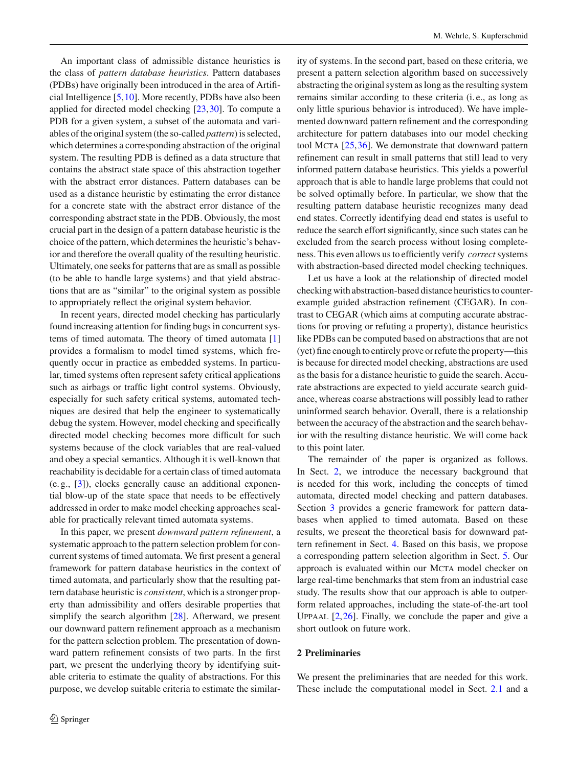An important class of admissible distance heuristics is the class of *pattern database heuristics*. Pattern databases (PDBs) have originally been introduced in the area of Artificial Intelligence [\[5](#page-14-12)[,10](#page-14-13)]. More recently, PDBs have also been applied for directed model checking [\[23,](#page-14-6)[30\]](#page-14-7). To compute a PDB for a given system, a subset of the automata and variables of the original system (the so-called *pattern*) is selected, which determines a corresponding abstraction of the original system. The resulting PDB is defined as a data structure that contains the abstract state space of this abstraction together with the abstract error distances. Pattern databases can be used as a distance heuristic by estimating the error distance for a concrete state with the abstract error distance of the corresponding abstract state in the PDB. Obviously, the most crucial part in the design of a pattern database heuristic is the choice of the pattern, which determines the heuristic's behavior and therefore the overall quality of the resulting heuristic. Ultimately, one seeks for patterns that are as small as possible (to be able to handle large systems) and that yield abstractions that are as "similar" to the original system as possible to appropriately reflect the original system behavior.

In recent years, directed model checking has particularly found increasing attention for finding bugs in concurrent systems of timed automata. The theory of timed automata [\[1\]](#page-14-14) provides a formalism to model timed systems, which frequently occur in practice as embedded systems. In particular, timed systems often represent safety critical applications such as airbags or traffic light control systems. Obviously, especially for such safety critical systems, automated techniques are desired that help the engineer to systematically debug the system. However, model checking and specifically directed model checking becomes more difficult for such systems because of the clock variables that are real-valued and obey a special semantics. Although it is well-known that reachability is decidable for a certain class of timed automata (e. g., [\[3\]](#page-14-15)), clocks generally cause an additional exponential blow-up of the state space that needs to be effectively addressed in order to make model checking approaches scalable for practically relevant timed automata systems.

In this paper, we present *downward pattern refinement*, a systematic approach to the pattern selection problem for concurrent systems of timed automata. We first present a general framework for pattern database heuristics in the context of timed automata, and particularly show that the resulting pattern database heuristic is *consistent*, which is a stronger property than admissibility and offers desirable properties that simplify the search algorithm [\[28\]](#page-14-16). Afterward, we present our downward pattern refinement approach as a mechanism for the pattern selection problem. The presentation of downward pattern refinement consists of two parts. In the first part, we present the underlying theory by identifying suitable criteria to estimate the quality of abstractions. For this purpose, we develop suitable criteria to estimate the similarity of systems. In the second part, based on these criteria, we present a pattern selection algorithm based on successively abstracting the original system as long as the resulting system remains similar according to these criteria (i. e., as long as only little spurious behavior is introduced). We have implemented downward pattern refinement and the corresponding architecture for pattern databases into our model checking tool MCTA  $[25,36]$  $[25,36]$  $[25,36]$ . We demonstrate that downward pattern refinement can result in small patterns that still lead to very informed pattern database heuristics. This yields a powerful approach that is able to handle large problems that could not be solved optimally before. In particular, we show that the resulting pattern database heuristic recognizes many dead end states. Correctly identifying dead end states is useful to reduce the search effort significantly, since such states can be excluded from the search process without losing completeness. This even allows us to efficiently verify *correct* systems with abstraction-based directed model checking techniques.

Let us have a look at the relationship of directed model checking with abstraction-based distance heuristics to counterexample guided abstraction refinement (CEGAR). In contrast to CEGAR (which aims at computing accurate abstractions for proving or refuting a property), distance heuristics like PDBs can be computed based on abstractions that are not (yet) fine enough to entirely prove or refute the property—this is because for directed model checking, abstractions are used as the basis for a distance heuristic to guide the search. Accurate abstractions are expected to yield accurate search guidance, whereas coarse abstractions will possibly lead to rather uninformed search behavior. Overall, there is a relationship between the accuracy of the abstraction and the search behavior with the resulting distance heuristic. We will come back to this point later.

The remainder of the paper is organized as follows. In Sect. [2,](#page-1-0) we introduce the necessary background that is needed for this work, including the concepts of timed automata, directed model checking and pattern databases. Section [3](#page-4-0) provides a generic framework for pattern databases when applied to timed automata. Based on these results, we present the theoretical basis for downward pattern refinement in Sect. [4.](#page-5-0) Based on this basis, we propose a corresponding pattern selection algorithm in Sect. [5.](#page-9-0) Our approach is evaluated within our MCTA model checker on large real-time benchmarks that stem from an industrial case study. The results show that our approach is able to outperform related approaches, including the state-of-the-art tool UPPAAL  $[2,26]$  $[2,26]$  $[2,26]$ . Finally, we conclude the paper and give a short outlook on future work.

## <span id="page-1-0"></span>**2 Preliminaries**

We present the preliminaries that are needed for this work. These include the computational model in Sect. [2.1](#page-2-0) and a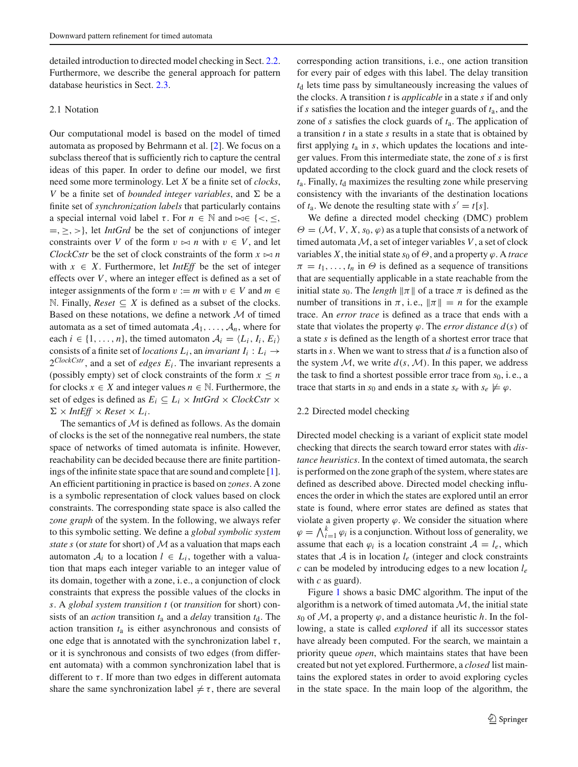detailed introduction to directed model checking in Sect. [2.2.](#page-2-1) Furthermore, we describe the general approach for pattern database heuristics in Sect. [2.3.](#page-3-0)

## <span id="page-2-0"></span>2.1 Notation

Our computational model is based on the model of timed automata as proposed by Behrmann et al. [\[2](#page-14-18)]. We focus on a subclass thereof that is sufficiently rich to capture the central ideas of this paper. In order to define our model, we first need some more terminology. Let *X* be a finite set of *clocks*, *V* be a finite set of *bounded integer variables*, and  $\Sigma$  be a finite set of *synchronization labels* that particularly contains a special internal void label  $\tau$ . For  $n \in \mathbb{N}$  and  $\bowtie \in \{<,\leq,\right.$  $=$ ,  $\geq$ ,  $>$ }, let *IntGrd* be the set of conjunctions of integer constraints over *V* of the form  $v \approx n$  with  $v \in V$ , and let *ClockCstr* be the set of clock constraints of the form  $x \bowtie n$ with  $x \in X$ . Furthermore, let *IntEff* be the set of integer effects over *V*, where an integer effect is defined as a set of integer assignments of the form  $v := m$  with  $v \in V$  and  $m \in$ N. Finally, *Reset* ⊂ *X* is defined as a subset of the clocks. Based on these notations, we define a network *M* of timed automata as a set of timed automata  $A_1, \ldots, A_n$ , where for each  $i \in \{1, \ldots, n\}$ , the timed automaton  $A_i = \langle L_i, I_i, E_i \rangle$ consists of a finite set of *locations*  $L_i$ , an *invariant*  $I_i: L_i \rightarrow$  $2^{ClockCstr}$ , and a set of *edges*  $E_i$ . The invariant represents a (possibly empty) set of clock constraints of the form  $x \leq n$ for clocks  $x \in X$  and integer values  $n \in \mathbb{N}$ . Furthermore, the set of edges is defined as  $E_i \subseteq L_i \times IntGrd \times ClockCstr \times$  $\Sigma \times IntEff \times Rest \times L_i$ .

The semantics of  $M$  is defined as follows. As the domain of clocks is the set of the nonnegative real numbers, the state space of networks of timed automata is infinite. However, reachability can be decided because there are finite partitionings of the infinite state space that are sound and complete [\[1](#page-14-14)]. An efficient partitioning in practice is based on *zones*. A zone is a symbolic representation of clock values based on clock constraints. The corresponding state space is also called the *zone graph* of the system. In the following, we always refer to this symbolic setting. We define a *global symbolic system state s* (or *state* for short) of*M*as a valuation that maps each automaton  $A_i$  to a location  $l \in L_i$ , together with a valuation that maps each integer variable to an integer value of its domain, together with a zone, i. e., a conjunction of clock constraints that express the possible values of the clocks in *s*. A *global system transition t* (or *transition* for short) consists of an *action* transition  $t_a$  and a *delay* transition  $t_d$ . The action transition *t*<sup>a</sup> is either asynchronous and consists of one edge that is annotated with the synchronization label  $\tau$ , or it is synchronous and consists of two edges (from different automata) with a common synchronization label that is different to  $\tau$ . If more than two edges in different automata share the same synchronization label  $\neq \tau$ , there are several corresponding action transitions, i. e., one action transition for every pair of edges with this label. The delay transition  $t<sub>d</sub>$  lets time pass by simultaneously increasing the values of the clocks. A transition *t* is *applicable* in a state *s* if and only if *s* satisfies the location and the integer guards of *t*a, and the zone of *s* satisfies the clock guards of *t*a. The application of a transition *t* in a state *s* results in a state that is obtained by first applying  $t_a$  in  $s$ , which updates the locations and integer values. From this intermediate state, the zone of *s* is first updated according to the clock guard and the clock resets of  $t_a$ . Finally,  $t_d$  maximizes the resulting zone while preserving consistency with the invariants of the destination locations of  $t_a$ . We denote the resulting state with  $s' = t[s]$ .

We define a directed model checking (DMC) problem  $\Theta = (\mathcal{M}, V, X, s_0, \varphi)$  as a tuple that consists of a network of timed automata*M*, a set of integer variables *V*, a set of clock variables *X*, the initial state  $s_0$  of  $\Theta$ , and a property  $\varphi$ . A *trace*  $\pi = t_1, \ldots, t_n$  in  $\Theta$  is defined as a sequence of transitions that are sequentially applicable in a state reachable from the initial state  $s_0$ . The *length*  $\|\pi\|$  of a trace  $\pi$  is defined as the number of transitions in  $\pi$ , i.e.,  $\|\pi\| = n$  for the example trace. An *error trace* is defined as a trace that ends with a state that violates the property  $\varphi$ . The *error distance d(s)* of a state *s* is defined as the length of a shortest error trace that starts in *s*. When we want to stress that *d* is a function also of the system  $M$ , we write  $d(s, M)$ . In this paper, we address the task to find a shortest possible error trace from *s*0, i. e., a trace that starts in  $s_0$  and ends in a state  $s_e$  with  $s_e \not\models \varphi$ .

## <span id="page-2-1"></span>2.2 Directed model checking

Directed model checking is a variant of explicit state model checking that directs the search toward error states with *distance heuristics*. In the context of timed automata, the search is performed on the zone graph of the system, where states are defined as described above. Directed model checking influences the order in which the states are explored until an error state is found, where error states are defined as states that violate a given property  $\varphi$ . We consider the situation where  $\varphi = \bigwedge_{i=1}^k \varphi_i$  is a conjunction. Without loss of generality, we assume that each  $\varphi_i$  is a location constraint  $A = l_e$ , which states that  $A$  is in location  $l_e$  (integer and clock constraints *c* can be modeled by introducing edges to a new location *le* with *c* as guard).

Figure [1](#page-3-1) shows a basic DMC algorithm. The input of the algorithm is a network of timed automata *M*, the initial state *s*<sub>0</sub> of  $M$ , a property  $\varphi$ , and a distance heuristic *h*. In the following, a state is called *explored* if all its successor states have already been computed. For the search, we maintain a priority queue *open*, which maintains states that have been created but not yet explored. Furthermore, a *closed* list maintains the explored states in order to avoid exploring cycles in the state space. In the main loop of the algorithm, the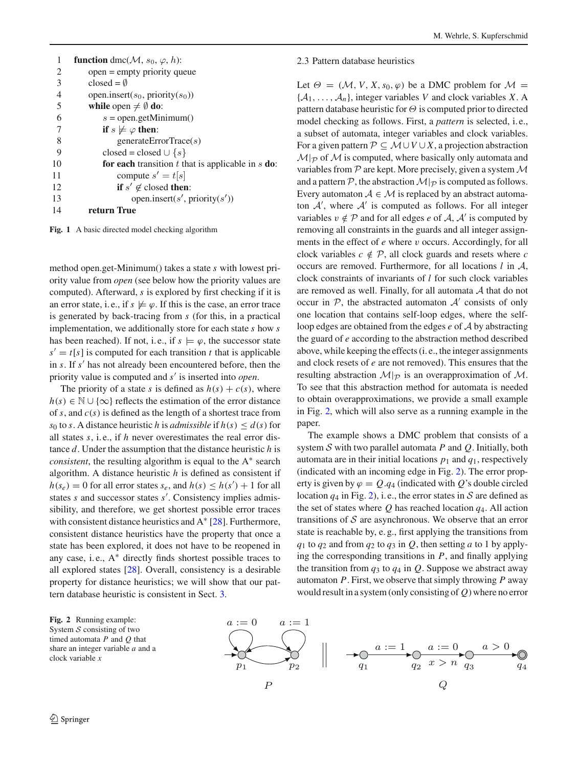|    | <b>function</b> dmc( $\mathcal{M}$ , $s_0$ , $\varphi$ , h): |
|----|--------------------------------------------------------------|
| 2  | $open = empty$ priority queue                                |
| 3  | closed = $\emptyset$                                         |
| 4  | open.insert $(s_0,$ priority $(s_0)$                         |
| 5  | while open $\neq \emptyset$ do:                              |
| 6  | $s =$ open.getMinimum()                                      |
|    | if $s \not\models \varphi$ then:                             |
| 8  | generateErrorTrace $(s)$                                     |
| 9  | closed = closed $\cup \{s\}$                                 |
| 10 | for each transition $t$ that is applicable in $s$ do:        |
| 11 | compute $s' = t[s]$                                          |
| 12 | if $s' \notin$ closed then:                                  |
| 13 | open.insert(s', priority(s'))                                |
| 14 | return True                                                  |
|    |                                                              |

<span id="page-3-1"></span>**Fig. 1** A basic directed model checking algorithm

method open.get-Minimum() takes a state *s* with lowest priority value from *open* (see below how the priority values are computed). Afterward, *s* is explored by first checking if it is an error state, i.e., if  $s \not\models \varphi$ . If this is the case, an error trace is generated by back-tracing from *s* (for this, in a practical implementation, we additionally store for each state *s* how *s* has been reached). If not, i.e., if  $s \models \varphi$ , the successor state  $s' = t[s]$  is computed for each transition *t* that is applicable in *s*. If *s'* has not already been encountered before, then the priority value is computed and *s'* is inserted into *open*.

The priority of a state *s* is defined as  $h(s) + c(s)$ , where  $h(s)$  ∈ N ∪ {∞} reflects the estimation of the error distance of *s*, and *c*(*s*) is defined as the length of a shortest trace from *s*<sup>0</sup> to *s*. A distance heuristic *h* is *admissible* if  $h(s) \leq d(s)$  for all states *s*, i. e., if *h* never overestimates the real error distance *d*. Under the assumption that the distance heuristic *h* is *consistent*, the resulting algorithm is equal to the A<sup> $*$ </sup> search algorithm. A distance heuristic *h* is defined as consistent if  $h(s_e) = 0$  for all error states  $s_e$ , and  $h(s) \leq h(s') + 1$  for all states *s* and successor states *s'*. Consistency implies admissibility, and therefore, we get shortest possible error traces with consistent distance heuristics and  $A^*$  [\[28](#page-14-16)]. Furthermore, consistent distance heuristics have the property that once a state has been explored, it does not have to be reopened in any case, i.e.,  $A^*$  directly finds shortest possible traces to all explored states [\[28](#page-14-16)]. Overall, consistency is a desirable property for distance heuristics; we will show that our pattern database heuristic is consistent in Sect. [3.](#page-4-0)

#### <span id="page-3-0"></span>2.3 Pattern database heuristics

Let  $\Theta = (\mathcal{M}, V, X, s_0, \varphi)$  be a DMC problem for  $\mathcal{M} =$  ${A_1, \ldots, A_n}$ , integer variables *V* and clock variables *X*. A pattern database heuristic for  $\Theta$  is computed prior to directed model checking as follows. First, a *pattern* is selected, i. e., a subset of automata, integer variables and clock variables. For a given pattern  $P \subseteq M \cup V \cup X$ , a projection abstraction  $M|_{\mathcal{D}}$  of M is computed, where basically only automata and variables from *P* are kept. More precisely, given a system*M* and a pattern  $P$ , the abstraction  $M|_{P}$  is computed as follows. Every automaton  $A \in \mathcal{M}$  is replaced by an abstract automaton  $A'$ , where  $A'$  is computed as follows. For all integer variables  $v \notin \mathcal{P}$  and for all edges *e* of *A*, *A'* is computed by removing all constraints in the guards and all integer assignments in the effect of *e* where v occurs. Accordingly, for all clock variables  $c \notin P$ , all clock guards and resets where *c* occurs are removed. Furthermore, for all locations *l* in *A*, clock constraints of invariants of *l* for such clock variables are removed as well. Finally, for all automata *A* that do not occur in  $P$ , the abstracted automaton  $A'$  consists of only one location that contains self-loop edges, where the selfloop edges are obtained from the edges *e* of *A* by abstracting the guard of *e* according to the abstraction method described above, while keeping the effects (i. e., the integer assignments and clock resets of *e* are not removed). This ensures that the resulting abstraction  $\mathcal{M}|_{\mathcal{D}}$  is an overapproximation of  $\mathcal{M}$ . To see that this abstraction method for automata is needed to obtain overapproximations, we provide a small example in Fig. [2,](#page-3-2) which will also serve as a running example in the paper.

The example shows a DMC problem that consists of a system *S* with two parallel automata *P* and *Q*. Initially, both automata are in their initial locations  $p_1$  and  $q_1$ , respectively (indicated with an incoming edge in Fig. [2\)](#page-3-2). The error property is given by  $\varphi = Q.q_4$  (indicated with Q's double circled location  $q_4$  in Fig. [2\)](#page-3-2), i.e., the error states in *S* are defined as the set of states where *Q* has reached location *q*4. All action transitions of *S* are asynchronous. We observe that an error state is reachable by, e. g., first applying the transitions from  $q_1$  to  $q_2$  and from  $q_2$  to  $q_3$  in  $Q$ , then setting  $a$  to 1 by applying the corresponding transitions in *P*, and finally applying the transition from  $q_3$  to  $q_4$  in  $Q$ . Suppose we abstract away automaton *P*. First, we observe that simply throwing *P* away would result in a system (only consisting of *Q*) where no error

<span id="page-3-2"></span>**Fig. 2** Running example: System *S* consisting of two timed automata *P* and *Q* that share an integer variable *a* and a

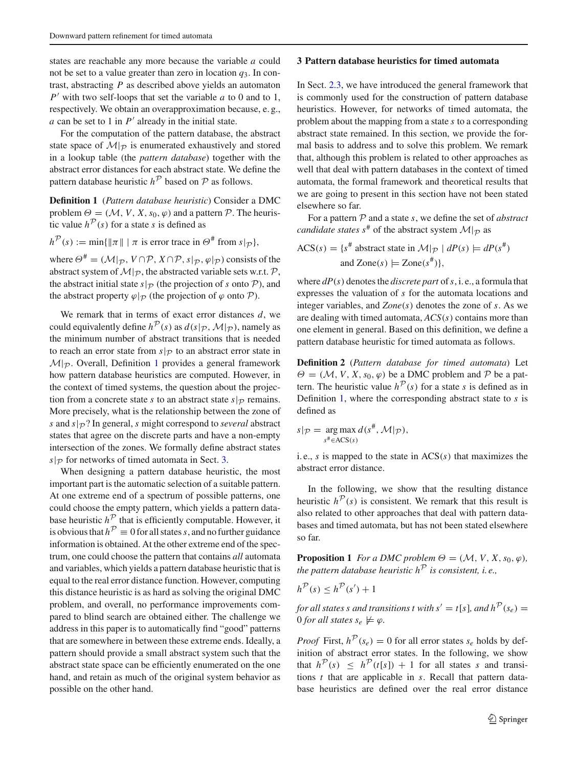states are reachable any more because the variable *a* could not be set to a value greater than zero in location  $q_3$ . In contrast, abstracting *P* as described above yields an automaton  $P'$  with two self-loops that set the variable *a* to 0 and to 1, respectively. We obtain an overapproximation because, e. g.,  $a$  can be set to 1 in  $P'$  already in the initial state.

For the computation of the pattern database, the abstract state space of  $M|_{\mathcal{D}}$  is enumerated exhaustively and stored in a lookup table (the *pattern database*) together with the abstract error distances for each abstract state. We define the pattern database heuristic  $h^{\mathcal{P}}$  based on  $\mathcal P$  as follows.

<span id="page-4-1"></span>**Definition 1** (*Pattern database heuristic*) Consider a DMC problem  $\Theta = (\mathcal{M}, V, X, s_0, \varphi)$  and a pattern  $\mathcal{P}$ . The heuristic value  $h^{\mathcal{P}}(s)$  for a state *s* is defined as

 $h^P(s) := \min\{\|\pi\| \mid \pi \text{ is error trace in } \Theta^{\#} \text{ from } s|_{\mathcal{D}}\},\$ 

where  $\Theta^{\#} = (\mathcal{M}|_{\mathcal{P}}, V \cap \mathcal{P}, X \cap \mathcal{P}, s|_{\mathcal{P}}, \varphi|_{\mathcal{P}})$  consists of the abstract system of  $M|_{\mathcal{P}}$ , the abstracted variable sets w.r.t.  $\mathcal{P}$ , the abstract initial state  $s|_{\mathcal{P}}$  (the projection of *s* onto  $\mathcal{P}$ ), and the abstract property  $\varphi|_{\mathcal{P}}$  (the projection of  $\varphi$  onto  $\mathcal{P}$ ).

We remark that in terms of exact error distances *d*, we could equivalently define  $h^P(s)$  as  $d(s|_{P}, M|_{P})$ , namely as the minimum number of abstract transitions that is needed to reach an error state from  $s/p$  to an abstract error state in  $M|_{\mathcal{P}}$ . Overall, Definition [1](#page-4-1) provides a general framework how pattern database heuristics are computed. However, in the context of timed systems, the question about the projection from a concrete state *s* to an abstract state  $s|_{\mathcal{D}}$  remains. More precisely, what is the relationship between the zone of *s* and  $s|p$ ? In general, *s* might correspond to *several* abstract states that agree on the discrete parts and have a non-empty intersection of the zones. We formally define abstract states  $s|p$  for networks of timed automata in Sect. [3.](#page-4-0)

When designing a pattern database heuristic, the most important part is the automatic selection of a suitable pattern. At one extreme end of a spectrum of possible patterns, one could choose the empty pattern, which yields a pattern database heuristic  $h^{\mathcal{P}}$  that is efficiently computable. However, it is obvious that  $h^P \equiv 0$  for all states *s*, and no further guidance information is obtained. At the other extreme end of the spectrum, one could choose the pattern that contains *all* automata and variables, which yields a pattern database heuristic that is equal to the real error distance function. However, computing this distance heuristic is as hard as solving the original DMC problem, and overall, no performance improvements compared to blind search are obtained either. The challenge we address in this paper is to automatically find "good" patterns that are somewhere in between these extreme ends. Ideally, a pattern should provide a small abstract system such that the abstract state space can be efficiently enumerated on the one hand, and retain as much of the original system behavior as possible on the other hand.

#### <span id="page-4-0"></span>**3 Pattern database heuristics for timed automata**

In Sect. [2.3,](#page-3-0) we have introduced the general framework that is commonly used for the construction of pattern database heuristics. However, for networks of timed automata, the problem about the mapping from a state *s* to a corresponding abstract state remained. In this section, we provide the formal basis to address and to solve this problem. We remark that, although this problem is related to other approaches as well that deal with pattern databases in the context of timed automata, the formal framework and theoretical results that we are going to present in this section have not been stated elsewhere so far.

For a pattern *P* and a state *s*, we define the set of *abstract candidate states*  $s^{\#}$  of the abstract system  $\mathcal{M}|_{\mathcal{D}}$  as

$$
ACS(s) = \{s^{\#} \text{ abstract state in } \mathcal{M}|_{\mathcal{P}} \mid dP(s) \models dP(s^{\#})
$$
  
and  $Zone(s) \models Zone(s^{\#})\},$ 

where *dP*(*s*) denotes the *discrete part* of*s*, i. e., a formula that expresses the valuation of *s* for the automata locations and integer variables, and *Zone*(*s*) denotes the zone of *s*. As we are dealing with timed automata, *ACS*(*s*) contains more than one element in general. Based on this definition, we define a pattern database heuristic for timed automata as follows.

**Definition 2** (*Pattern database for timed automata*) Let  $\Theta = (\mathcal{M}, V, X, s_0, \varphi)$  be a DMC problem and P be a pattern. The heuristic value  $h^{\mathcal{P}}(s)$  for a state *s* is defined as in Definition [1,](#page-4-1) where the corresponding abstract state to *s* is defined as

$$
s|\mathcal{P} = \underset{s^* \in \text{ACS}(s)}{\arg \max} d(s^*, \mathcal{M}|\mathcal{P}),
$$

i.e.,  $s$  is mapped to the state in  $ACS(s)$  that maximizes the abstract error distance.

In the following, we show that the resulting distance heuristic  $h^P(s)$  is consistent. We remark that this result is also related to other approaches that deal with pattern databases and timed automata, but has not been stated elsewhere so far.

<span id="page-4-2"></span>**Proposition 1** *For a DMC problem*  $\Theta = (\mathcal{M}, V, X, s_0, \varphi)$ *, the pattern database heuristic hP is consistent, i.e.,*

$$
h^{\mathcal{P}}(s) \le h^{\mathcal{P}}(s') + 1
$$

*for all states s and transitions t with*  $s' = t[s]$ *, and*  $h^P(s_e)$ 0 for all states  $s_e \not\models \varphi$ .

*Proof* First,  $h^{\mathcal{P}}(s_e) = 0$  for all error states  $s_e$  holds by definition of abstract error states. In the following, we show that  $h^{\mathcal{P}}(s) \leq h^{\mathcal{P}}(t[s]) + 1$  for all states *s* and transitions *t* that are applicable in *s*. Recall that pattern database heuristics are defined over the real error distance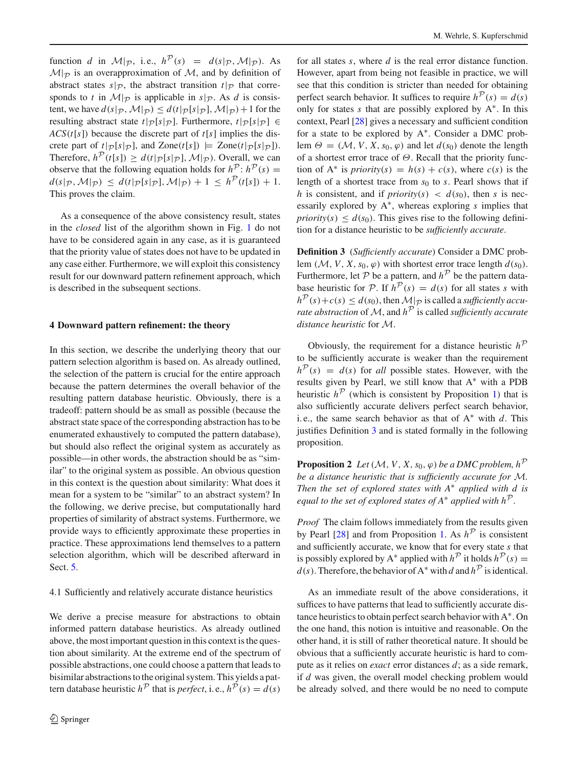function *d* in  $M|_{\mathcal{D}}$ , i.e.,  $h^{\mathcal{P}}(s) = d(s|\mathcal{D}, \mathcal{M}|\mathcal{D})$ . As  $M|_{\mathcal{P}}$  is an overapproximation of *M*, and by definition of abstract states  $s|p$ , the abstract transition  $t|p$  that corresponds to *t* in  $\mathcal{M}|_{\mathcal{D}}$  is applicable in  $s|_{\mathcal{D}}$ . As *d* is consistent, we have  $d(s|p, M|p) \leq d(t|p[s|p], M|p) + 1$  for the resulting abstract state  $t|p[s|p]$ . Furthermore,  $t|p[s|p] \in$  $ACS(t[s])$  because the discrete part of  $t[s]$  implies the discrete part of  $t | p[s|p]$ , and  $\text{Zone}(t[s]) \models \text{Zone}(t|p[s|p]).$ Therefore,  $h^{\mathcal{P}}(t[s]) \geq d(t|\mathcal{P}[s|\mathcal{P}], \mathcal{M}|\mathcal{P})$ . Overall, we can observe that the following equation holds for  $h^P$ :  $h^P(s)$  =  $d(s|p, M|p) \leq d(t|p[s|p], M|p) + 1 \leq h^{\mathcal{P}}(t[s]) + 1.$ This proves the claim.

As a consequence of the above consistency result, states in the *closed* list of the algorithm shown in Fig. [1](#page-3-1) do not have to be considered again in any case, as it is guaranteed that the priority value of states does not have to be updated in any case either. Furthermore, we will exploit this consistency result for our downward pattern refinement approach, which is described in the subsequent sections.

#### <span id="page-5-0"></span>**4 Downward pattern refinement: the theory**

In this section, we describe the underlying theory that our pattern selection algorithm is based on. As already outlined, the selection of the pattern is crucial for the entire approach because the pattern determines the overall behavior of the resulting pattern database heuristic. Obviously, there is a tradeoff: pattern should be as small as possible (because the abstract state space of the corresponding abstraction has to be enumerated exhaustively to computed the pattern database), but should also reflect the original system as accurately as possible—in other words, the abstraction should be as "similar" to the original system as possible. An obvious question in this context is the question about similarity: What does it mean for a system to be "similar" to an abstract system? In the following, we derive precise, but computationally hard properties of similarity of abstract systems. Furthermore, we provide ways to efficiently approximate these properties in practice. These approximations lend themselves to a pattern selection algorithm, which will be described afterward in Sect. [5.](#page-9-0)

#### 4.1 Sufficiently and relatively accurate distance heuristics

We derive a precise measure for abstractions to obtain informed pattern database heuristics. As already outlined above, the most important question in this context is the question about similarity. At the extreme end of the spectrum of possible abstractions, one could choose a pattern that leads to bisimilar abstractions to the original system. This yields a pattern database heuristic  $h^{\mathcal{P}}$  that is *perfect*, i.e.,  $h^{\mathcal{P}}(s) = d(s)$ 

for all states *s*, where *d* is the real error distance function. However, apart from being not feasible in practice, we will see that this condition is stricter than needed for obtaining perfect search behavior. It suffices to require  $h^P(s) = d(s)$ only for states *s* that are possibly explored by A∗. In this context, Pearl [\[28\]](#page-14-16) gives a necessary and sufficient condition for a state to be explored by A∗. Consider a DMC problem  $\Theta = (\mathcal{M}, V, X, s_0, \varphi)$  and let  $d(s_0)$  denote the length of a shortest error trace of  $\Theta$ . Recall that the priority function of A<sup>\*</sup> is *priority*(*s*) =  $h(s) + c(s)$ , where *c*(*s*) is the length of a shortest trace from  $s_0$  to  $s$ . Pearl shows that if *h* is consistent, and if *priority*(*s*) <  $d(s_0)$ , then *s* is necessarily explored by A∗, whereas exploring *s* implies that *priority*( $s$ )  $\leq d(s_0)$ . This gives rise to the following definition for a distance heuristic to be *sufficiently accurate*.

<span id="page-5-1"></span>**Definition 3** (*Sufficiently accurate*) Consider a DMC problem  $(M, V, X, s_0, \varphi)$  with shortest error trace length  $d(s_0)$ . Furthermore, let  $P$  be a pattern, and  $h^P$  be the pattern database heuristic for *P*. If  $h^P(s) = d(s)$  for all states *s* with  $h^P(s) + c(s) \leq d(s_0)$ , then  $M|_{\mathcal{P}}$  is called a *sufficiently accurate abstraction* of *M*, and *h<sup>P</sup>* is called *sufficiently accurate distance heuristic* for *M*.

Obviously, the requirement for a distance heuristic  $h^{\mathcal{P}}$ to be sufficiently accurate is weaker than the requirement  $h^P(s) = d(s)$  for *all* possible states. However, with the results given by Pearl, we still know that A<sup>∗</sup> with a PDB heuristic  $h^P$  (which is consistent by Proposition [1\)](#page-4-2) that is also sufficiently accurate delivers perfect search behavior, i. e., the same search behavior as that of A<sup>∗</sup> with *d*. This justifies Definition [3](#page-5-1) and is stated formally in the following proposition.

**Proposition 2** *Let*  $(M, V, X, s_0, \varphi)$  *be a DMC problem,*  $h^{\mathcal{P}}$ *be a distance heuristic that is sufficiently accurate for M. Then the set of explored states with A*<sup>∗</sup> *applied with d is equal to the set of explored states of A<sup>\*</sup> <i>applied with h<sup>P</sup>*.

*Proof* The claim follows immediately from the results given by Pearl  $[28]$  and from Proposition [1.](#page-4-2) As  $h^{\mathcal{P}}$  is consistent and sufficiently accurate, we know that for every state *s* that is possibly explored by A<sup>\*</sup> applied with  $h^{\mathcal{P}}$  it holds  $h^{\mathcal{P}}(s) =$ *d*(*s*). Therefore, the behavior of A<sup>\*</sup> with *d* and  $h^P$  is identical.

As an immediate result of the above considerations, it suffices to have patterns that lead to sufficiently accurate distance heuristics to obtain perfect search behavior with A∗. On the one hand, this notion is intuitive and reasonable. On the other hand, it is still of rather theoretical nature. It should be obvious that a sufficiently accurate heuristic is hard to compute as it relies on *exact* error distances *d*; as a side remark, if *d* was given, the overall model checking problem would be already solved, and there would be no need to compute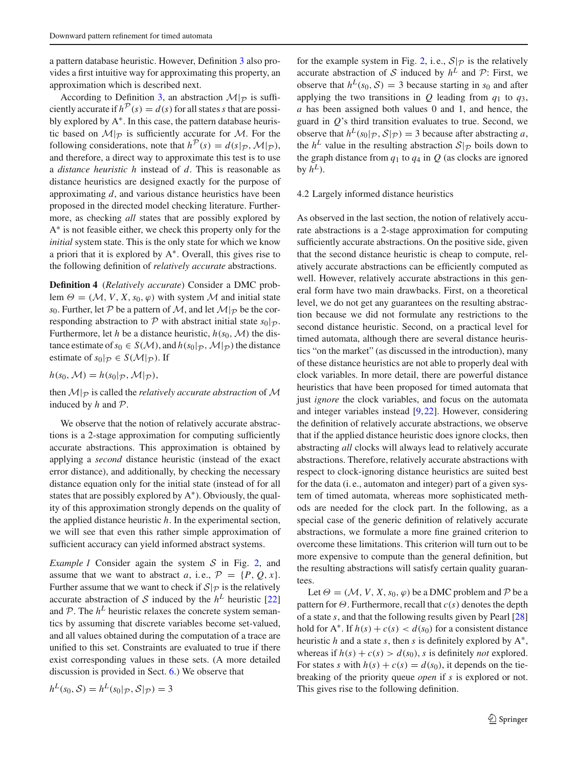a pattern database heuristic. However, Definition [3](#page-5-1) also provides a first intuitive way for approximating this property, an approximation which is described next.

According to Definition [3,](#page-5-1) an abstraction  $\mathcal{M}|_{\mathcal{D}}$  is sufficiently accurate if  $h^P(s) = d(s)$  for all states *s* that are possibly explored by  $A^*$ . In this case, the pattern database heuristic based on  $\mathcal{M}|_{\mathcal{P}}$  is sufficiently accurate for  $\mathcal{M}$ . For the following considerations, note that  $h^{\mathcal{P}}(s) = d(s|_{\mathcal{P}}, \mathcal{M}|_{\mathcal{P}})$ , and therefore, a direct way to approximate this test is to use a *distance heuristic h* instead of *d*. This is reasonable as distance heuristics are designed exactly for the purpose of approximating *d*, and various distance heuristics have been proposed in the directed model checking literature. Furthermore, as checking *all* states that are possibly explored by A<sup>∗</sup> is not feasible either, we check this property only for the *initial* system state. This is the only state for which we know a priori that it is explored by A∗. Overall, this gives rise to the following definition of *relatively accurate* abstractions.

<span id="page-6-0"></span>**Definition 4** (*Relatively accurate*) Consider a DMC problem  $\Theta = (\mathcal{M}, V, X, s_0, \varphi)$  with system  $\mathcal M$  and initial state *s*<sub>0</sub>. Further, let  $P$  be a pattern of  $M$ , and let  $M|_P$  be the corresponding abstraction to  $P$  with abstract initial state  $s_0|_{P}$ . Furthermore, let *h* be a distance heuristic,  $h(s_0, M)$  the distance estimate of  $s_0 \in S(\mathcal{M})$ , and  $h(s_0|_{\mathcal{P}}, \mathcal{M}|_{\mathcal{P}})$  the distance estimate of  $s_0|_{\mathcal{P}} \in S(\mathcal{M}|_{\mathcal{P}})$ . If

 $h(s_0, \mathcal{M}) = h(s_0 | \mathcal{P}, \mathcal{M} | \mathcal{P}),$ 

then  $M|_{\mathcal{P}}$  is called the *relatively accurate abstraction* of M induced by *h* and *P*.

We observe that the notion of relatively accurate abstractions is a 2-stage approximation for computing sufficiently accurate abstractions. This approximation is obtained by applying a *second* distance heuristic (instead of the exact error distance), and additionally, by checking the necessary distance equation only for the initial state (instead of for all states that are possibly explored by  $A^*$ ). Obviously, the quality of this approximation strongly depends on the quality of the applied distance heuristic *h*. In the experimental section, we will see that even this rather simple approximation of sufficient accuracy can yield informed abstract systems.

*Example 1* Consider again the system *S* in Fig. [2,](#page-3-2) and assume that we want to abstract *a*, i.e.,  $P = \{P, Q, x\}.$ Further assume that we want to check if  $S|_{\mathcal{P}}$  is the relatively accurate abstraction of *S* induced by the  $h^L$  heuristic [\[22\]](#page-14-5) and  $P$ . The  $h^L$  heuristic relaxes the concrete system semantics by assuming that discrete variables become set-valued, and all values obtained during the computation of a trace are unified to this set. Constraints are evaluated to true if there exist corresponding values in these sets. (A more detailed discussion is provided in Sect. [6.](#page-10-0)) We observe that

$$
h^L(s_0, S) = h^L(s_0 | \mathcal{P}, S | \mathcal{P}) = 3
$$

for the example system in Fig. [2,](#page-3-2) i.e.,  $S|\mathcal{P}$  is the relatively accurate abstraction of *S* induced by  $h^L$  and *P*: First, we observe that  $h^L(s_0, S) = 3$  because starting in  $s_0$  and after applying the two transitions in  $Q$  leading from  $q_1$  to  $q_3$ , *a* has been assigned both values 0 and 1, and hence, the guard in *Q*'s third transition evaluates to true. Second, we observe that  $h^L(s_0|\mathcal{P}, \mathcal{S}|\mathcal{P}) = 3$  because after abstracting *a*, the  $h^L$  value in the resulting abstraction  $S_p$  boils down to the graph distance from  $q_1$  to  $q_4$  in  $Q$  (as clocks are ignored by  $h^L$ ).

## 4.2 Largely informed distance heuristics

As observed in the last section, the notion of relatively accurate abstractions is a 2-stage approximation for computing sufficiently accurate abstractions. On the positive side, given that the second distance heuristic is cheap to compute, relatively accurate abstractions can be efficiently computed as well. However, relatively accurate abstractions in this general form have two main drawbacks. First, on a theoretical level, we do not get any guarantees on the resulting abstraction because we did not formulate any restrictions to the second distance heuristic. Second, on a practical level for timed automata, although there are several distance heuristics "on the market" (as discussed in the introduction), many of these distance heuristics are not able to properly deal with clock variables. In more detail, there are powerful distance heuristics that have been proposed for timed automata that just *ignore* the clock variables, and focus on the automata and integer variables instead [\[9](#page-14-1)[,22](#page-14-5)]. However, considering the definition of relatively accurate abstractions, we observe that if the applied distance heuristic does ignore clocks, then abstracting *all* clocks will always lead to relatively accurate abstractions. Therefore, relatively accurate abstractions with respect to clock-ignoring distance heuristics are suited best for the data (i. e., automaton and integer) part of a given system of timed automata, whereas more sophisticated methods are needed for the clock part. In the following, as a special case of the generic definition of relatively accurate abstractions, we formulate a more fine grained criterion to overcome these limitations. This criterion will turn out to be more expensive to compute than the general definition, but the resulting abstractions will satisfy certain quality guarantees.

Let  $\Theta = (\mathcal{M}, V, X, s_0, \varphi)$  be a DMC problem and  $\mathcal P$  be a pattern for  $\Theta$ . Furthermore, recall that  $c(s)$  denotes the depth of a state *s*, and that the following results given by Pearl [\[28\]](#page-14-16) hold for  $A^*$ . If  $h(s) + c(s) < d(s_0)$  for a consistent distance heuristic *h* and a state *s*, then *s* is definitely explored by A∗, whereas if  $h(s) + c(s) > d(s_0)$ , *s* is definitely *not* explored. For states *s* with  $h(s) + c(s) = d(s_0)$ , it depends on the tiebreaking of the priority queue *open* if *s* is explored or not. This gives rise to the following definition.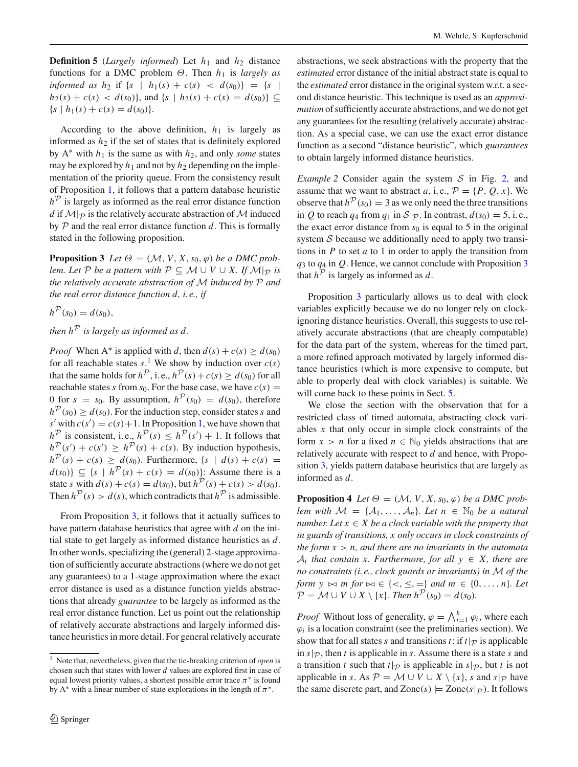**Definition 5** (*Largely informed*) Let  $h_1$  and  $h_2$  distance functions for a DMC problem Θ. Then *h*<sup>1</sup> is *largely as informed as h<sub>2</sub> if {<i>s* | *h*<sub>1</sub>(*s*) + *c*(*s*) < *d*(*s*<sub>0</sub>)} = {*s* | *h*<sub>2</sub>(*s*) + *c*(*s*) < *d*(*s*<sub>0</sub>)}, and {*s* | *h*<sub>2</sub>(*s*) + *c*(*s*) = *d*(*s*<sub>0</sub>)} ⊆  ${s \mid h_1(s) + c(s) = d(s_0)}.$ 

According to the above definition,  $h_1$  is largely as informed as  $h_2$  if the set of states that is definitely explored by  $A^*$  with  $h_1$  is the same as with  $h_2$ , and only *some* states may be explored by  $h_1$  and not by  $h_2$  depending on the implementation of the priority queue. From the consistency result of Proposition [1,](#page-4-2) it follows that a pattern database heuristic  $h<sup>p</sup>$  is largely as informed as the real error distance function *d* if  $M|_{\mathcal{D}}$  is the relatively accurate abstraction of M induced by  $P$  and the real error distance function  $d$ . This is formally stated in the following proposition.

<span id="page-7-1"></span>**Proposition 3** *Let*  $\Theta = (\mathcal{M}, V, X, s_0, \varphi)$  *be a DMC problem. Let*  $P$  *be a pattern with*  $P \subseteq M \cup V \cup X$ *. If*  $M|_{P}$  *is the relatively accurate abstraction of M induced by P and the real error distance function d, i.e., if*

 $h^{\mathcal{P}}(s_0) = d(s_0),$ 

*then*  $h^P$  *is largely as informed as d.* 

*Proof* When A<sup>\*</sup> is applied with *d*, then  $d(s) + c(s) \geq d(s_0)$ for all reachable states  $s$ <sup>[1](#page-7-0)</sup>. We show by induction over  $c(s)$ that the same holds for  $h^{\mathcal{P}}$ , i.e.,  $h^{\mathcal{P}}(s) + c(s) \geq d(s_0)$  for all reachable states *s* from  $s_0$ . For the base case, we have  $c(s)$  = 0 for  $s = s_0$ . By assumption,  $h^{\mathcal{P}}(s_0) = d(s_0)$ , therefore  $h^P(s_0) \ge d(s_0)$ . For the induction step, consider states *s* and  $s'$  with  $c(s') = c(s) + 1$ . In Proposition [1,](#page-4-2) we have shown that *h*<sup>*P*</sup> is consistent, i.e.,  $h^P(s) \leq h^P(s') + 1$ . It follows that  $h^{\mathcal{P}}(s') + c(s') \geq h^{\mathcal{P}}(s) + c(s)$ . By induction hypothesis,  $h^P(s) + c(s) \ge d(s_0)$ . Furthermore,  $\{s \mid d(s) + c(s) =$ *d*(*s*<sub>0</sub>)} ⊆ {*s* |  $h^P(s) + c(s) = d(s_0)$ }: Assume there is a state *s* with  $d(s) + c(s) = d(s_0)$ , but  $h^P(s) + c(s) > d(s_0)$ . Then  $h^{\mathcal{P}}(s) > d(s)$ , which contradicts that  $h^{\mathcal{P}}$  is admissible.

From Proposition [3,](#page-7-1) it follows that it actually suffices to have pattern database heuristics that agree with *d* on the initial state to get largely as informed distance heuristics as *d*. In other words, specializing the (general) 2-stage approximation of sufficiently accurate abstractions (where we do not get any guarantees) to a 1-stage approximation where the exact error distance is used as a distance function yields abstractions that already *guarantee* to be largely as informed as the real error distance function. Let us point out the relationship of relatively accurate abstractions and largely informed distance heuristics in more detail. For general relatively accurate

abstractions, we seek abstractions with the property that the *estimated* error distance of the initial abstract state is equal to the *estimated* error distance in the original system w.r.t. a second distance heuristic. This technique is used as an *approximation* of sufficiently accurate abstractions, and we do not get any guarantees for the resulting (relatively accurate) abstraction. As a special case, we can use the exact error distance function as a second "distance heuristic", which *guarantees* to obtain largely informed distance heuristics.

*Example 2* Consider again the system *S* in Fig. [2,](#page-3-2) and assume that we want to abstract *a*, i.e.,  $P = \{P, Q, x\}$ . We observe that  $h^P(s_0) = 3$  as we only need the three transitions in *Q* to reach  $q_4$  from  $q_1$  in  $S|_{\mathcal{P}}$ . In contrast,  $d(s_0) = 5$ , i.e., the exact error distance from  $s_0$  is equal to 5 in the original system *S* because we additionally need to apply two transitions in *P* to set *a* to 1 in order to apply the transition from *q*<sup>3</sup> to *q*<sup>4</sup> in *Q*. Hence, we cannot conclude with Proposition [3](#page-7-1) that  $h^{\mathcal{P}}$  is largely as informed as *d*.

Proposition [3](#page-7-1) particularly allows us to deal with clock variables explicitly because we do no longer rely on clockignoring distance heuristics. Overall, this suggests to use relatively accurate abstractions (that are cheaply computable) for the data part of the system, whereas for the timed part, a more refined approach motivated by largely informed distance heuristics (which is more expensive to compute, but able to properly deal with clock variables) is suitable. We will come back to these points in Sect. [5.](#page-9-0)

We close the section with the observation that for a restricted class of timed automata, abstracting clock variables *x* that only occur in simple clock constraints of the form  $x > n$  for a fixed  $n \in \mathbb{N}_0$  yields abstractions that are relatively accurate with respect to *d* and hence, with Proposition [3,](#page-7-1) yields pattern database heuristics that are largely as informed as *d*.

<span id="page-7-2"></span>**Proposition 4** *Let*  $\Theta = (\mathcal{M}, V, X, s_0, \varphi)$  *be a DMC problem with*  $M = \{A_1, \ldots, A_n\}$ *. Let*  $n \in \mathbb{N}_0$  *be a natural number. Let*  $x \in X$  *be a clock variable with the property that in guards of transitions, x only occurs in clock constraints of the form x* > *n, and there are no invariants in the automata*  $A_i$  *that contain x. Furthermore, for all*  $y \in X$ *, there are no constraints (i.e., clock guards or invariants) in M of the form*  $y \bowtie m$  *for*  $\bowtie \in \{<, \leq, =\}$  *and*  $m \in \{0, \ldots, n\}$ *. Let*  $P = M \cup V \cup X \setminus \{x\}$ *. Then*  $h^P(s_0) = d(s_0)$ *.* 

*Proof* Without loss of generality,  $\varphi = \bigwedge_{i=1}^{k} \varphi_i$ , where each  $\varphi_i$  is a location constraint (see the preliminaries section). We show that for all states *s* and transitions *t*: if  $t | p$  is applicable in  $s|_{\mathcal{P}}$ , then *t* is applicable in *s*. Assume there is a state *s* and a transition *t* such that  $t|p$  is applicable in  $s|p$ , but *t* is not applicable in *s*. As  $P = M \cup V \cup X \setminus \{x\}$ , *s* and *s* $|P|$  have the same discrete part, and  $\text{Zone}(s) \models \text{Zone}(s|\mathcal{P})$ . It follows

<span id="page-7-0"></span><sup>1</sup> Note that, nevertheless, given that the tie-breaking criterion of *open* is chosen such that states with lower *d* values are explored first in case of equal lowest priority values, a shortest possible error trace  $\pi^*$  is found by A<sup>\*</sup> with a linear number of state explorations in the length of  $\pi^*$ .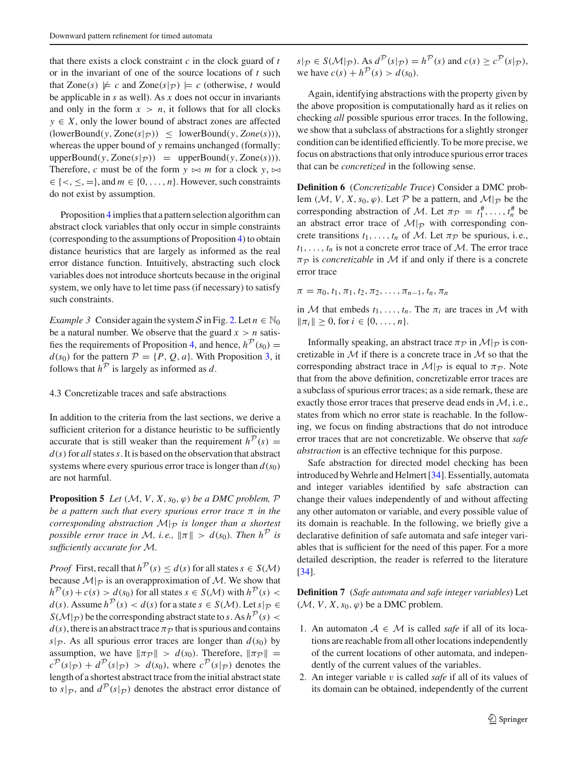that there exists a clock constraint *c* in the clock guard of *t* or in the invariant of one of the source locations of *t* such that  $\text{Zone}(s) \not\models c$  and  $\text{Zone}(s|\mathcal{P}) \models c$  (otherwise, *t* would be applicable in *s* as well). As *x* does not occur in invariants and only in the form  $x > n$ , it follows that for all clocks  $y \in X$ , only the lower bound of abstract zones are affected (lowerBound(*y*,  $\text{Zone}(s|_{\mathcal{P}})$ )  $\leq$  lowerBound(*y*,  $\text{Zone}(s)$ )), whereas the upper bound of *y* remains unchanged (formally: upperBound(*y*, Zone( $s|_{\mathcal{P}}$ )) = upperBound(*y*, Zone( $s$ ))). Therefore, *c* must be of the form  $y \approx m$  for a clock  $y \approx m$  $\in \{<,\leq,=\},$  and  $m \in \{0,\ldots,n\}$ . However, such constraints do not exist by assumption.

Proposition [4](#page-7-2) implies that a pattern selection algorithm can abstract clock variables that only occur in simple constraints (corresponding to the assumptions of Proposition [4\)](#page-7-2) to obtain distance heuristics that are largely as informed as the real error distance function. Intuitively, abstracting such clock variables does not introduce shortcuts because in the original system, we only have to let time pass (if necessary) to satisfy such constraints.

*Example 3* Consider again the system S in Fig. [2.](#page-3-2) Let  $n \in \mathbb{N}_0$ be a natural number. We observe that the guard  $x > n$  satis-fies the requirements of Proposition [4,](#page-7-2) and hence,  $h^{\mathcal{P}}(s_0) =$  $d(s_0)$  for the pattern  $P = \{P, Q, a\}$ . With Proposition [3,](#page-7-1) it follows that  $h^P$  is largely as informed as *d*.

#### 4.3 Concretizable traces and safe abstractions

In addition to the criteria from the last sections, we derive a sufficient criterion for a distance heuristic to be sufficiently accurate that is still weaker than the requirement  $h^P(s)$  =  $d(s)$  for *all* states *s*. It is based on the observation that abstract systems where every spurious error trace is longer than  $d(s_0)$ are not harmful.

<span id="page-8-0"></span>**Proposition 5** *Let*  $(M, V, X, s_0, \varphi)$  *be a DMC problem,*  $\mathcal{P}$ *be a pattern such that every spurious error trace* π *in the corresponding abstraction*  $M|_{\mathcal{P}}$  *is longer than a shortest possible error trace in M*, *i.e.*,  $\|\pi\| > d(s_0)$ *. Then*  $h^P$  *is sufficiently accurate for M.*

*Proof* First, recall that  $h^P(s) \leq d(s)$  for all states  $s \in S(\mathcal{M})$ because  $\mathcal{M}|_{\mathcal{P}}$  is an overapproximation of  $\mathcal{M}$ . We show that  $h^P(s) + c(s) > d(s_0)$  for all states  $s \in S(\mathcal{M})$  with  $h^P(s)$  < *d*(*s*). Assume  $h^{\mathcal{P}}(s) < d(s)$  for a state  $s \in S(\mathcal{M})$ . Let  $s|_{\mathcal{P}} \in$  $S(\mathcal{M}|_{\mathcal{P}})$  be the corresponding abstract state to *s*. As  $h^{\mathcal{P}}(s)$  <  $d(s)$ , there is an abstract trace  $\pi_p$  that is spurious and contains  $s|_{\mathcal{D}}$ . As all spurious error traces are longer than  $d(s_0)$  by assumption, we have  $\|\pi_{\mathcal{P}}\| > d(s_0)$ . Therefore,  $\|\pi_{\mathcal{P}}\| =$  $c^P(s|p) + d^P(s|p) > d(s_0)$ , where  $c^P(s|p)$  denotes the length of a shortest abstract trace from the initial abstract state to  $s|_{\mathcal{D}}$ , and  $d^{\mathcal{P}}(s|_{\mathcal{D}})$  denotes the abstract error distance of  $s|p \in S(\mathcal{M}|p)$ . As  $d^{\mathcal{P}}(s|p) = h^{\mathcal{P}}(s)$  and  $c(s) \geq c^{\mathcal{P}}(s|p)$ , we have  $c(s) + h^{\mathcal{P}}(s) > d(s_0)$ .

Again, identifying abstractions with the property given by the above proposition is computationally hard as it relies on checking *all* possible spurious error traces. In the following, we show that a subclass of abstractions for a slightly stronger condition can be identified efficiently. To be more precise, we focus on abstractions that only introduce spurious error traces that can be *concretized* in the following sense.

**Definition 6** (*Concretizable Trace*) Consider a DMC problem  $(M, V, X, s_0, \varphi)$ . Let P be a pattern, and  $M|_{\mathcal{P}}$  be the corresponding abstraction of *M*. Let  $\pi_{\mathcal{P}} = t_1^{\#}, \ldots, t_n^{\#}$  be an abstract error trace of  $M|_{\mathcal{P}}$  with corresponding concrete transitions  $t_1, \ldots, t_n$  of M. Let  $\pi_{\mathcal{P}}$  be spurious, i.e.,  $t_1, \ldots, t_n$  is not a concrete error trace of *M*. The error trace  $\pi_{\mathcal{P}}$  is *concretizable* in *M* if and only if there is a concrete error trace

$$
\pi = \pi_0, t_1, \pi_1, t_2, \pi_2, \ldots, \pi_{n-1}, t_n, \pi_n
$$

in *M* that embeds  $t_1, \ldots, t_n$ . The  $\pi_i$  are traces in *M* with  $\|\pi_i\| \geq 0$ , for  $i \in \{0, ..., n\}$ .

Informally speaking, an abstract trace  $\pi_p$  in  $\mathcal{M}|_p$  is concretizable in *M* if there is a concrete trace in *M* so that the corresponding abstract trace in  $\mathcal{M}|_{\mathcal{D}}$  is equal to  $\pi_{\mathcal{P}}$ . Note that from the above definition, concretizable error traces are a subclass of spurious error traces; as a side remark, these are exactly those error traces that preserve dead ends in *M*, i. e., states from which no error state is reachable. In the following, we focus on finding abstractions that do not introduce error traces that are not concretizable. We observe that *safe abstraction* is an effective technique for this purpose.

Safe abstraction for directed model checking has been introduced byWehrle and Helmert [\[34](#page-14-9)]. Essentially, automata and integer variables identified by safe abstraction can change their values independently of and without affecting any other automaton or variable, and every possible value of its domain is reachable. In the following, we briefly give a declarative definition of safe automata and safe integer variables that is sufficient for the need of this paper. For a more detailed description, the reader is referred to the literature [\[34](#page-14-9)].

**Definition 7** (*Safe automata and safe integer variables*) Let  $(M, V, X, s_0, \varphi)$  be a DMC problem.

- 1. An automaton  $A \in \mathcal{M}$  is called *safe* if all of its locations are reachable from all other locations independently of the current locations of other automata, and independently of the current values of the variables.
- 2. An integer variable v is called *safe* if all of its values of its domain can be obtained, independently of the current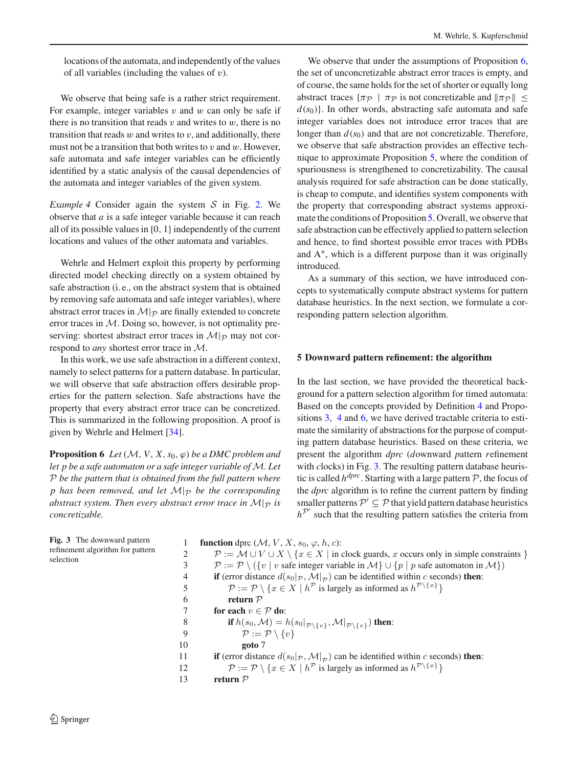locations of the automata, and independently of the values of all variables (including the values of  $v$ ).

We observe that being safe is a rather strict requirement. For example, integer variables  $v$  and  $w$  can only be safe if there is no transition that reads  $v$  and writes to  $w$ , there is no transition that reads  $w$  and writes to  $v$ , and additionally, there must not be a transition that both writes to  $v$  and  $w$ . However, safe automata and safe integer variables can be efficiently identified by a static analysis of the causal dependencies of the automata and integer variables of the given system.

*Example 4* Consider again the system *S* in Fig. [2.](#page-3-2) We observe that *a* is a safe integer variable because it can reach all of its possible values in  $\{0, 1\}$  independently of the current locations and values of the other automata and variables.

Wehrle and Helmert exploit this property by performing directed model checking directly on a system obtained by safe abstraction (i. e., on the abstract system that is obtained by removing safe automata and safe integer variables), where abstract error traces in  $\mathcal{M}|_{\mathcal{D}}$  are finally extended to concrete error traces in *M*. Doing so, however, is not optimality preserving: shortest abstract error traces in  $\mathcal{M}|_{\mathcal{D}}$  may not correspond to *any* shortest error trace in *M*.

In this work, we use safe abstraction in a different context, namely to select patterns for a pattern database. In particular, we will observe that safe abstraction offers desirable properties for the pattern selection. Safe abstractions have the property that every abstract error trace can be concretized. This is summarized in the following proposition. A proof is given by Wehrle and Helmert [\[34](#page-14-9)].

<span id="page-9-1"></span>**Proposition 6** *Let*  $(M, V, X, s_0, \varphi)$  *be a DMC problem and let p be a safe automaton or a safe integer variable ofM. Let P be the pattern that is obtained from the full pattern where p* has been removed, and let  $M|_{\mathcal{P}}$  be the corresponding *abstract system. Then every abstract error trace in*  $M|_{\mathcal{P}}$  *is concretizable.*

<span id="page-9-2"></span>**Fig. 3** The downward pattern refinement algorithm for pattern selection

M. Wehrle, S. Kupferschmid

We observe that under the assumptions of Proposition [6,](#page-9-1) the set of unconcretizable abstract error traces is empty, and of course, the same holds for the set of shorter or equally long abstract traces  $\{\pi_{\mathcal{P}} \mid \pi_{\mathcal{P}} \text{ is not concentizable and } \|\pi_{\mathcal{P}}\| \leq$  $d(s<sub>0</sub>)$ . In other words, abstracting safe automata and safe integer variables does not introduce error traces that are longer than  $d(s_0)$  and that are not concretizable. Therefore, we observe that safe abstraction provides an effective technique to approximate Proposition [5,](#page-8-0) where the condition of spuriousness is strengthened to concretizability. The causal analysis required for safe abstraction can be done statically, is cheap to compute, and identifies system components with the property that corresponding abstract systems approximate the conditions of Proposition [5.](#page-8-0) Overall, we observe that safe abstraction can be effectively applied to pattern selection and hence, to find shortest possible error traces with PDBs and A∗, which is a different purpose than it was originally introduced.

As a summary of this section, we have introduced concepts to systematically compute abstract systems for pattern database heuristics. In the next section, we formulate a corresponding pattern selection algorithm.

### <span id="page-9-0"></span>**5 Downward pattern refinement: the algorithm**

In the last section, we have provided the theoretical background for a pattern selection algorithm for timed automata: Based on the concepts provided by Definition [4](#page-6-0) and Propositions [3,](#page-7-1) [4](#page-7-2) and [6,](#page-9-1) we have derived tractable criteria to estimate the similarity of abstractions for the purpose of computing pattern database heuristics. Based on these criteria, we present the algorithm *dprc* (*d*ownward *p*attern *r*efinement with *c*locks) in Fig. [3.](#page-9-2) The resulting pattern database heuristic is called  $h^{dprc}$ . Starting with a large pattern  $P$ , the focus of the *dprc* algorithm is to refine the current pattern by finding smaller patterns  $\mathcal{P}' \subseteq \mathcal{P}$  that yield pattern database heuristics  $h^{p'}$  such that the resulting pattern satisfies the criteria from

| 1  | <b>function</b> dprc $(M, V, X, s_0, \varphi, h, c)$ :                                                                                                       |
|----|--------------------------------------------------------------------------------------------------------------------------------------------------------------|
| 2  | $\mathcal{P} := \mathcal{M} \cup V \cup X \setminus \{x \in X \mid \text{in clock guards}, x \text{ occurs only in simple constraints}\}\$                   |
| 3  | $\mathcal{P} := \mathcal{P} \setminus (\{v \mid v \text{ safe integer variable in } \mathcal{M}\} \cup \{p \mid p \text{ safe automaton in } \mathcal{M}\})$ |
| 4  | <b>if</b> (error distance $d(s_0 \mathcal{P}, \mathcal{M} _{\mathcal{P}})$ ) can be identified within c seconds) <b>then</b> :                               |
| 5  | $\mathcal{P} := \mathcal{P} \setminus \{x \in X \mid h^{\mathcal{P}} \text{ is largely as informed as } h^{\mathcal{P} \setminus \{x\}}\}\$                  |
| 6  | return $\mathcal P$                                                                                                                                          |
|    | for each $v \in \mathcal{P}$ do:                                                                                                                             |
| 8  | if $h(s_0, \mathcal{M}) = h(s_0 _{\mathcal{P}\setminus\{y\}}, \mathcal{M} _{\mathcal{P}\setminus\{y\}})$ then:                                               |
| 9  | $\mathcal{P} := \mathcal{P} \setminus \{v\}$                                                                                                                 |
| 10 | goto 7                                                                                                                                                       |
| 11 | <b>if</b> (error distance $d(s_0 \mathcal{P}, \mathcal{M} _{\mathcal{P}})$ ) can be identified within c seconds) <b>then</b> :                               |
| 12 | $\mathcal{P} := \mathcal{P} \setminus \{x \in X \mid h^{\mathcal{P}} \text{ is largely as informed as } h^{\mathcal{P} \setminus \{x\}}\}\$                  |
| 13 | return $P$                                                                                                                                                   |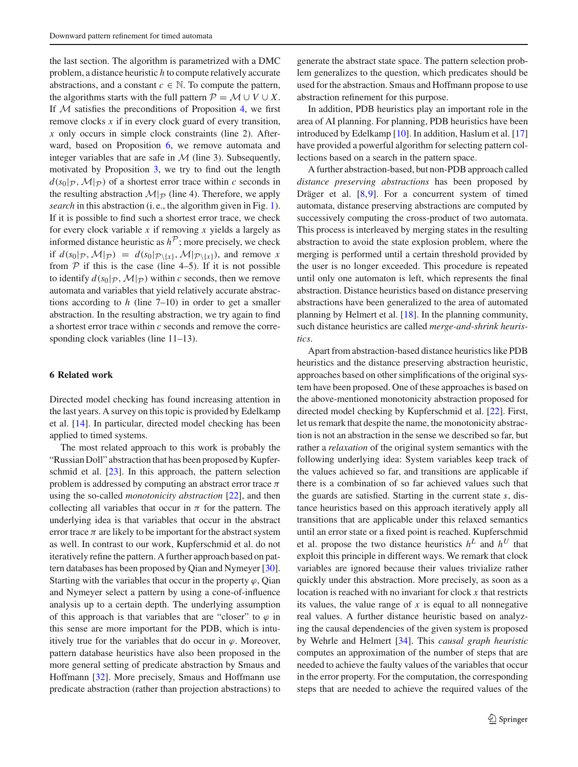the last section. The algorithm is parametrized with a DMC problem, a distance heuristic *h* to compute relatively accurate abstractions, and a constant  $c \in \mathbb{N}$ . To compute the pattern, the algorithms starts with the full pattern  $P = M \cup V \cup X$ . If *M* satisfies the preconditions of Proposition [4,](#page-7-2) we first remove clocks *x* if in every clock guard of every transition, *x* only occurs in simple clock constraints (line 2). After-ward, based on Proposition [6,](#page-9-1) we remove automata and integer variables that are safe in  $M$  (line 3). Subsequently, motivated by Proposition [3,](#page-7-1) we try to find out the length  $d(s_0|p, M|p)$  of a shortest error trace within *c* seconds in the resulting abstraction  $M|_{\mathcal{P}}$  (line 4). Therefore, we apply *search* in this abstraction (i. e., the algorithm given in Fig. [1\)](#page-3-1). If it is possible to find such a shortest error trace, we check for every clock variable *x* if removing *x* yields a largely as informed distance heuristic as  $h^P$ ; more precisely, we check if  $d(s_0|p, \mathcal{M}|p) = d(s_0|p_{\setminus\{x\}}, \mathcal{M}|p_{\setminus\{x\}})$ , and remove *x* from  $P$  if this is the case (line 4–5). If it is not possible to identify  $d(s_0|_{\mathcal{P}}, \mathcal{M}|_{\mathcal{P}})$  within *c* seconds, then we remove automata and variables that yield relatively accurate abstractions according to  $h$  (line 7–10) in order to get a smaller abstraction. In the resulting abstraction, we try again to find a shortest error trace within *c* seconds and remove the corresponding clock variables (line 11–13).

#### <span id="page-10-0"></span>**6 Related work**

Directed model checking has found increasing attention in the last years. A survey on this topic is provided by Edelkamp et al. [\[14\]](#page-14-3). In particular, directed model checking has been applied to timed systems.

The most related approach to this work is probably the "Russian Doll" abstraction that has been proposed by Kupferschmid et al. [\[23](#page-14-6)]. In this approach, the pattern selection problem is addressed by computing an abstract error trace  $\pi$ using the so-called *monotonicity abstraction* [\[22\]](#page-14-5), and then collecting all variables that occur in  $\pi$  for the pattern. The underlying idea is that variables that occur in the abstract error trace  $\pi$  are likely to be important for the abstract system as well. In contrast to our work, Kupferschmid et al. do not iteratively refine the pattern. A further approach based on pattern databases has been proposed by Qian and Nymeyer [\[30](#page-14-7)]. Starting with the variables that occur in the property  $\varphi$ , Qian and Nymeyer select a pattern by using a cone-of-influence analysis up to a certain depth. The underlying assumption of this approach is that variables that are "closer" to  $\varphi$  in this sense are more important for the PDB, which is intuitively true for the variables that do occur in  $\varphi$ . Moreover, pattern database heuristics have also been proposed in the more general setting of predicate abstraction by Smaus and Hoffmann [\[32](#page-14-8)]. More precisely, Smaus and Hoffmann use predicate abstraction (rather than projection abstractions) to generate the abstract state space. The pattern selection problem generalizes to the question, which predicates should be used for the abstraction. Smaus and Hoffmann propose to use abstraction refinement for this purpose.

In addition, PDB heuristics play an important role in the area of AI planning. For planning, PDB heuristics have been introduced by Edelkamp [\[10](#page-14-13)]. In addition, Haslum et al. [\[17\]](#page-14-20) have provided a powerful algorithm for selecting pattern collections based on a search in the pattern space.

A further abstraction-based, but non-PDB approach called *distance preserving abstractions* has been proposed by Dräger et al. [\[8](#page-14-21),[9\]](#page-14-1). For a concurrent system of timed automata, distance preserving abstractions are computed by successively computing the cross-product of two automata. This process is interleaved by merging states in the resulting abstraction to avoid the state explosion problem, where the merging is performed until a certain threshold provided by the user is no longer exceeded. This procedure is repeated until only one automaton is left, which represents the final abstraction. Distance heuristics based on distance preserving abstractions have been generalized to the area of automated planning by Helmert et al. [\[18](#page-14-22)]. In the planning community, such distance heuristics are called *merge-and-shrink heuristics*.

Apart from abstraction-based distance heuristics like PDB heuristics and the distance preserving abstraction heuristic, approaches based on other simplifications of the original system have been proposed. One of these approaches is based on the above-mentioned monotonicity abstraction proposed for directed model checking by Kupferschmid et al. [\[22\]](#page-14-5). First, let us remark that despite the name, the monotonicity abstraction is not an abstraction in the sense we described so far, but rather a *relaxation* of the original system semantics with the following underlying idea: System variables keep track of the values achieved so far, and transitions are applicable if there is a combination of so far achieved values such that the guards are satisfied. Starting in the current state *s*, distance heuristics based on this approach iteratively apply all transitions that are applicable under this relaxed semantics until an error state or a fixed point is reached. Kupferschmid et al. propose the two distance heuristics  $h^L$  and  $h^U$  that exploit this principle in different ways. We remark that clock variables are ignored because their values trivialize rather quickly under this abstraction. More precisely, as soon as a location is reached with no invariant for clock *x* that restricts its values, the value range of *x* is equal to all nonnegative real values. A further distance heuristic based on analyzing the causal dependencies of the given system is proposed by Wehrle and Helmert [\[34\]](#page-14-9). This *causal graph heuristic* computes an approximation of the number of steps that are needed to achieve the faulty values of the variables that occur in the error property. For the computation, the corresponding steps that are needed to achieve the required values of the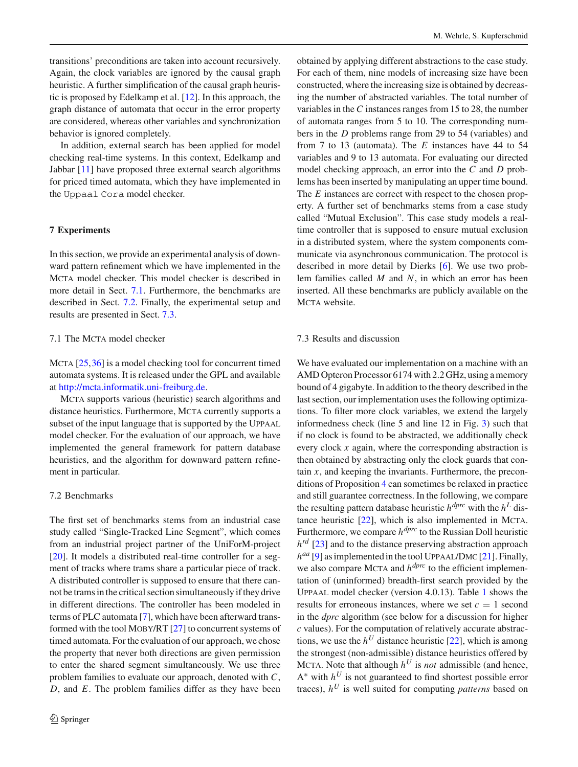transitions' preconditions are taken into account recursively. Again, the clock variables are ignored by the causal graph heuristic. A further simplification of the causal graph heuristic is proposed by Edelkamp et al. [\[12](#page-14-2)]. In this approach, the graph distance of automata that occur in the error property are considered, whereas other variables and synchronization behavior is ignored completely.

In addition, external search has been applied for model checking real-time systems. In this context, Edelkamp and Jabbar [\[11](#page-14-23)] have proposed three external search algorithms for priced timed automata, which they have implemented in the Uppaal Cora model checker.

# **7 Experiments**

In this section, we provide an experimental analysis of downward pattern refinement which we have implemented in the MCTA model checker. This model checker is described in more detail in Sect. [7.1.](#page-11-0) Furthermore, the benchmarks are described in Sect. [7.2.](#page-11-1) Finally, the experimental setup and results are presented in Sect. [7.3.](#page-11-2)

# <span id="page-11-0"></span>7.1 The MCTA model checker

MCTA [\[25](#page-14-17),[36](#page-15-1)] is a model checking tool for concurrent timed automata systems. It is released under the GPL and available at [http://mcta.informatik.uni-freiburg.de.](http://mcta.informatik.uni-freiburg.de)

MCTA supports various (heuristic) search algorithms and distance heuristics. Furthermore, MCTA currently supports a subset of the input language that is supported by the UPPAAL model checker. For the evaluation of our approach, we have implemented the general framework for pattern database heuristics, and the algorithm for downward pattern refinement in particular.

#### <span id="page-11-1"></span>7.2 Benchmarks

The first set of benchmarks stems from an industrial case study called "Single-Tracked Line Segment", which comes from an industrial project partner of the UniForM-project [\[20](#page-14-24)]. It models a distributed real-time controller for a segment of tracks where trams share a particular piece of track. A distributed controller is supposed to ensure that there cannot be trams in the critical section simultaneously if they drive in different directions. The controller has been modeled in terms of PLC automata [\[7\]](#page-14-25), which have been afterward transformed with the tool Moby/RT [\[27\]](#page-14-26) to concurrent systems of timed automata. For the evaluation of our approach, we chose the property that never both directions are given permission to enter the shared segment simultaneously. We use three problem families to evaluate our approach, denoted with *C*, *D*, and *E*. The problem families differ as they have been obtained by applying different abstractions to the case study. For each of them, nine models of increasing size have been constructed, where the increasing size is obtained by decreasing the number of abstracted variables. The total number of variables in the *C* instances ranges from 15 to 28, the number of automata ranges from 5 to 10. The corresponding numbers in the *D* problems range from 29 to 54 (variables) and from 7 to 13 (automata). The *E* instances have 44 to 54 variables and 9 to 13 automata. For evaluating our directed model checking approach, an error into the *C* and *D* problems has been inserted by manipulating an upper time bound. The *E* instances are correct with respect to the chosen property. A further set of benchmarks stems from a case study called "Mutual Exclusion". This case study models a realtime controller that is supposed to ensure mutual exclusion in a distributed system, where the system components communicate via asynchronous communication. The protocol is described in more detail by Dierks [\[6](#page-14-27)]. We use two problem families called *M* and *N*, in which an error has been inserted. All these benchmarks are publicly available on the MCTA website.

## <span id="page-11-2"></span>7.3 Results and discussion

We have evaluated our implementation on a machine with an AMD Opteron Processor 6174 with 2.2 GHz, using a memory bound of 4 gigabyte. In addition to the theory described in the last section, our implementation uses the following optimizations. To filter more clock variables, we extend the largely informedness check (line 5 and line 12 in Fig. [3\)](#page-9-2) such that if no clock is found to be abstracted, we additionally check every clock *x* again, where the corresponding abstraction is then obtained by abstracting only the clock guards that contain *x*, and keeping the invariants. Furthermore, the preconditions of Proposition [4](#page-7-2) can sometimes be relaxed in practice and still guarantee correctness. In the following, we compare the resulting pattern database heuristic *hdprc* with the *h<sup>L</sup>* dis-tance heuristic [\[22](#page-14-5)], which is also implemented in MCTA. Furthermore, we compare *hdprc* to the Russian Doll heuristic *h*<sup>rd</sup> [\[23\]](#page-14-6) and to the distance preserving abstraction approach *haa* [\[9\]](#page-14-1) as implemented in the tool Uppaal/Dmc [\[21\]](#page-14-28). Finally, we also compare MCTA and  $h^{dprc}$  to the efficient implementation of (uninformed) breadth-first search provided by the Uppaal model checker (version 4.0.13). Table [1](#page-12-0) shows the results for erroneous instances, where we set  $c = 1$  second in the *dprc* algorithm (see below for a discussion for higher *c* values). For the computation of relatively accurate abstractions, we use the  $h^U$  distance heuristic [\[22](#page-14-5)], which is among the strongest (non-admissible) distance heuristics offered by MCTA. Note that although  $h^U$  is *not* admissible (and hence, A<sup>∗</sup> with *h<sup>U</sup>* is not guaranteed to find shortest possible error traces),  $h^U$  is well suited for computing *patterns* based on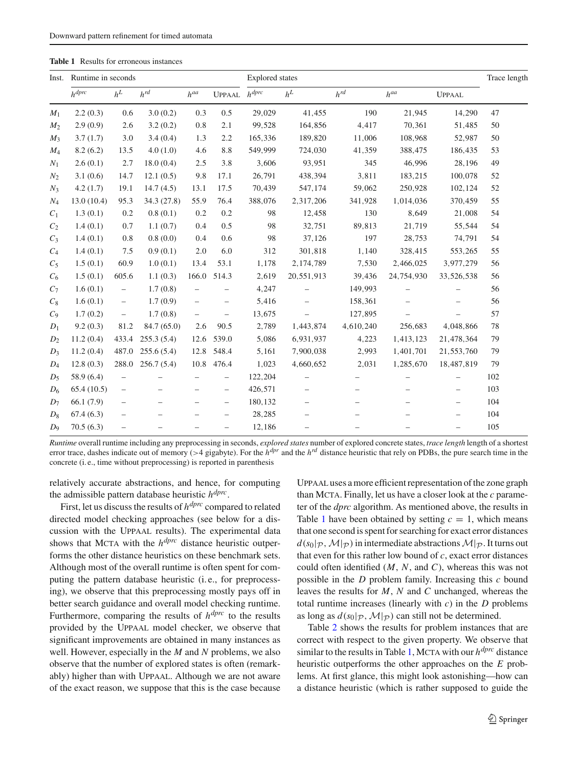**Table 1** Results for erroneous instances

<span id="page-12-0"></span>

| Inst.          | Runtime in seconds |                          |                          |                          |                          | <b>Explored</b> states | Trace length             |           |            |                          |     |
|----------------|--------------------|--------------------------|--------------------------|--------------------------|--------------------------|------------------------|--------------------------|-----------|------------|--------------------------|-----|
|                | $h^{dprc}$         | $h^L$                    | $h^{rd}$                 | $h^{aa}$                 | <b>UPPAAL</b>            | $h^{dprc}$             | $h^L$                    | $h^{rd}$  | $h^{aa}$   | <b>UPPAAL</b>            |     |
| $M_1$          | 2.2(0.3)           | 0.6                      | 3.0(0.2)                 | 0.3                      | 0.5                      | 29,029                 | 41,455                   | 190       | 21,945     | 14,290                   | 47  |
| $M_2$          | 2.9(0.9)           | 2.6                      | 3.2(0.2)                 | 0.8                      | 2.1                      | 99,528                 | 164,856                  | 4,417     | 70,361     | 51,485                   | 50  |
| $M_3$          | 3.7(1.7)           | 3.0                      | 3.4(0.4)                 | 1.3                      | 2.2                      | 165,336                | 189,820                  | 11,006    | 108,968    | 52,987                   | 50  |
| $M_4$          | 8.2(6.2)           | 13.5                     | 4.0(1.0)                 | 4.6                      | 8.8                      | 549,999                | 724,030                  | 41,359    | 388,475    | 186,435                  | 53  |
| $N_1$          | 2.6(0.1)           | 2.7                      | 18.0(0.4)                | 2.5                      | 3.8                      | 3,606                  | 93,951                   | 345       | 46,996     | 28,196                   | 49  |
| $N_2$          | 3.1(0.6)           | 14.7                     | 12.1(0.5)                | 9.8                      | 17.1                     | 26,791                 | 438,394                  | 3,811     | 183,215    | 100,078                  | 52  |
| $N_3$          | 4.2(1.7)           | 19.1                     | 14.7(4.5)                | 13.1                     | 17.5                     | 70,439                 | 547,174                  | 59,062    | 250,928    | 102,124                  | 52  |
| $N_4$          | 13.0(10.4)         | 95.3                     | 34.3(27.8)               | 55.9                     | 76.4                     | 388,076                | 2,317,206                | 341,928   | 1,014,036  | 370,459                  | 55  |
| $C_1$          | 1.3(0.1)           | 0.2                      | 0.8(0.1)                 | 0.2                      | 0.2                      | 98                     | 12,458                   | 130       | 8,649      | 21,008                   | 54  |
| C <sub>2</sub> | 1.4(0.1)           | 0.7                      | 1.1(0.7)                 | 0.4                      | 0.5                      | 98                     | 32,751                   | 89,813    | 21,719     | 55,544                   | 54  |
| $C_3$          | 1.4(0.1)           | 0.8                      | 0.8(0.0)                 | 0.4                      | 0.6                      | 98                     | 37,126                   | 197       | 28,753     | 74,791                   | 54  |
| $C_4$          | 1.4(0.1)           | 7.5                      | 0.9(0.1)                 | 2.0                      | 6.0                      | 312                    | 301,818                  | 1,140     | 328,415    | 553,265                  | 55  |
| $C_5$          | 1.5(0.1)           | 60.9                     | 1.0(0.1)                 | 13.4                     | 53.1                     | 1,178                  | 2,174,789                | 7,530     | 2,466,025  | 3,977,279                | 56  |
| $C_6$          | 1.5(0.1)           | 605.6                    | 1.1(0.3)                 |                          | 166.0 514.3              | 2,619                  | 20,551,913               | 39,436    | 24,754,930 | 33,526,538               | 56  |
| C <sub>7</sub> | 1.6(0.1)           | $\overline{\phantom{m}}$ | 1.7(0.8)                 | $\overline{\phantom{0}}$ |                          | 4,247                  |                          | 149,993   |            |                          | 56  |
| $C_8$          | 1.6(0.1)           | $\overline{\phantom{m}}$ | 1.7(0.9)                 | -                        |                          | 5,416                  |                          | 158,361   |            |                          | 56  |
| C <sub>9</sub> | 1.7(0.2)           | $\qquad \qquad -$        | 1.7(0.8)                 | $\overline{\phantom{0}}$ | $\overline{\phantom{m}}$ | 13,675                 |                          | 127,895   |            |                          | 57  |
| $D_1$          | 9.2(0.3)           | 81.2                     | 84.7 (65.0)              | 2.6                      | 90.5                     | 2,789                  | 1,443,874                | 4,610,240 | 256,683    | 4,048,866                | 78  |
| $D_2$          | 11.2(0.4)          | 433.4                    | 255.3(5.4)               | 12.6                     | 539.0                    | 5,086                  | 6,931,937                | 4,223     | 1,413,123  | 21,478,364               | 79  |
| $D_3$          | 11.2(0.4)          | 487.0                    | 255.6(5.4)               | 12.8                     | 548.4                    | 5,161                  | 7,900,038                | 2,993     | 1,401,701  | 21, 553, 760             | 79  |
| $D_4$          | 12.8(0.3)          | 288.0                    | 256.7(5.4)               | 10.8                     | 476.4                    | 1,023                  | 4,660,652                | 2,031     | 1,285,670  | 18,487,819               | 79  |
| $D_5$          | 58.9 (6.4)         | $\qquad \qquad -$        |                          |                          | $\overline{\phantom{m}}$ | 122,204                |                          |           |            |                          | 102 |
| $D_6$          | 65.4(10.5)         | $\overline{\phantom{m}}$ | $\overline{\phantom{0}}$ | -                        | $\overline{\phantom{m}}$ | 426,571                |                          |           |            |                          | 103 |
| $D_7$          | 66.1(7.9)          | $\overline{\phantom{0}}$ | $\overline{\phantom{0}}$ | -                        | $\overline{\phantom{m}}$ | 180,132                | $\overline{\phantom{0}}$ |           |            | $\overline{\phantom{0}}$ | 104 |
| $D_8$          | 67.4(6.3)          | $\overline{\phantom{0}}$ |                          | $\overline{\phantom{0}}$ | $\overline{\phantom{m}}$ | 28,285                 |                          |           |            | -                        | 104 |
| $D_9$          | 70.5(6.3)          |                          |                          |                          |                          | 12,186                 |                          |           |            |                          | 105 |

*Runtime* overall runtime including any preprocessing in seconds, *explored states* number of explored concrete states, *trace length* length of a shortest error trace, dashes indicate out of memory (>4 gigabyte). For the  $h^{dpr}$  and the  $h^{rd}$  distance heuristic that rely on PDBs, the pure search time in the concrete (i. e., time without preprocessing) is reported in parenthesis

relatively accurate abstractions, and hence, for computing the admissible pattern database heuristic *hdprc*.

First, let us discuss the results of *hdprc* compared to related directed model checking approaches (see below for a discussion with the Uppaal results). The experimental data shows that MCTA with the  $h^{dprc}$  distance heuristic outperforms the other distance heuristics on these benchmark sets. Although most of the overall runtime is often spent for computing the pattern database heuristic (i. e., for preprocessing), we observe that this preprocessing mostly pays off in better search guidance and overall model checking runtime. Furthermore, comparing the results of  $h^{dprc}$  to the results provided by the Uppaal model checker, we observe that significant improvements are obtained in many instances as well. However, especially in the *M* and *N* problems, we also observe that the number of explored states is often (remarkably) higher than with UPPAAL. Although we are not aware of the exact reason, we suppose that this is the case because

Uppaal uses a more efficient representation of the zone graph than Mcta. Finally, let us have a closer look at the *c* parameter of the *dprc* algorithm. As mentioned above, the results in Table [1](#page-12-0) have been obtained by setting  $c = 1$ , which means that one second is spent for searching for exact error distances  $d(s_0|_{\mathcal{P}}, \mathcal{M}|_{\mathcal{P}})$  in intermediate abstractions  $\mathcal{M}|_{\mathcal{P}}$ . It turns out that even for this rather low bound of *c*, exact error distances could often identified (*M*, *N*, and *C*), whereas this was not possible in the *D* problem family. Increasing this *c* bound leaves the results for *M*, *N* and *C* unchanged, whereas the total runtime increases (linearly with *c*) in the *D* problems as long as  $d(s_0|_{\mathcal{P}}, \mathcal{M}|_{\mathcal{P}})$  can still not be determined.

Table [2](#page-13-0) shows the results for problem instances that are correct with respect to the given property. We observe that similar to the results in Table [1,](#page-12-0) MCTA with our  $h^{dprc}$  distance heuristic outperforms the other approaches on the *E* problems. At first glance, this might look astonishing—how can a distance heuristic (which is rather supposed to guide the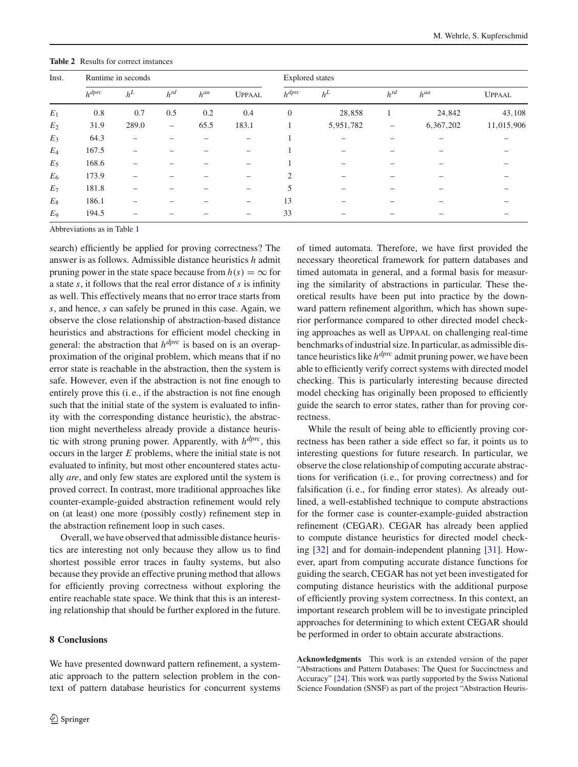<span id="page-13-0"></span>

| Inst. |            | Runtime in seconds |                          |          |               | <b>Explored</b> states      |           |          |           |               |  |
|-------|------------|--------------------|--------------------------|----------|---------------|-----------------------------|-----------|----------|-----------|---------------|--|
|       | $h^{dprc}$ | $h^L$              | $h^{rd}$                 | $h^{aa}$ | <b>UPPAAL</b> | $h^{dprc}$                  | $h^L$     | $h^{rd}$ | $h^{aa}$  | <b>UPPAAL</b> |  |
| $E_1$ | 0.8        | 0.7                | 0.5                      | 0.2      | 0.4           | $\theta$                    | 28,858    |          | 24,842    | 43,108        |  |
| $E_2$ | 31.9       | 289.0              | $\overline{\phantom{0}}$ | 65.5     | 183.1         |                             | 5,951,782 | -        | 6,367,202 | 11,015,906    |  |
| $E_3$ | 64.3       | -                  |                          |          |               |                             |           |          |           |               |  |
| $E_4$ | 167.5      |                    |                          |          |               |                             |           |          |           |               |  |
| $E_5$ | 168.6      |                    |                          |          |               |                             |           |          |           |               |  |
| $E_6$ | 173.9      |                    |                          |          |               | $\mathcal{D}_{\mathcal{L}}$ |           |          |           |               |  |
| $E_7$ | 181.8      |                    |                          |          |               | 5                           |           |          |           |               |  |
| $E_8$ | 186.1      |                    |                          |          | -             | 13                          |           |          |           |               |  |
| $E_9$ | 194.5      |                    |                          |          |               | 33                          |           |          |           |               |  |

**Table 2** Results for correct instances

Abbreviations as in Table [1](#page-12-0)

search) efficiently be applied for proving correctness? The answer is as follows. Admissible distance heuristics *h* admit pruning power in the state space because from  $h(s) = \infty$  for a state *s*, it follows that the real error distance of *s* is infinity as well. This effectively means that no error trace starts from *s*, and hence, *s* can safely be pruned in this case. Again, we observe the close relationship of abstraction-based distance heuristics and abstractions for efficient model checking in general: the abstraction that *hdprc* is based on is an overapproximation of the original problem, which means that if no error state is reachable in the abstraction, then the system is safe. However, even if the abstraction is not fine enough to entirely prove this (i. e., if the abstraction is not fine enough such that the initial state of the system is evaluated to infinity with the corresponding distance heuristic), the abstraction might nevertheless already provide a distance heuristic with strong pruning power. Apparently, with *hdprc*, this occurs in the larger *E* problems, where the initial state is not evaluated to infinity, but most other encountered states actually *are*, and only few states are explored until the system is proved correct. In contrast, more traditional approaches like counter-example-guided abstraction refinement would rely on (at least) one more (possibly costly) refinement step in the abstraction refinement loop in such cases.

Overall, we have observed that admissible distance heuristics are interesting not only because they allow us to find shortest possible error traces in faulty systems, but also because they provide an effective pruning method that allows for efficiently proving correctness without exploring the entire reachable state space. We think that this is an interesting relationship that should be further explored in the future.

# **8 Conclusions**

We have presented downward pattern refinement, a systematic approach to the pattern selection problem in the context of pattern database heuristics for concurrent systems of timed automata. Therefore, we have first provided the necessary theoretical framework for pattern databases and timed automata in general, and a formal basis for measuring the similarity of abstractions in particular. These theoretical results have been put into practice by the downward pattern refinement algorithm, which has shown superior performance compared to other directed model checking approaches as well as Uppaal on challenging real-time benchmarks of industrial size. In particular, as admissible distance heuristics like *hdprc* admit pruning power, we have been able to efficiently verify correct systems with directed model checking. This is particularly interesting because directed model checking has originally been proposed to efficiently guide the search to error states, rather than for proving correctness.

While the result of being able to efficiently proving correctness has been rather a side effect so far, it points us to interesting questions for future research. In particular, we observe the close relationship of computing accurate abstractions for verification (i. e., for proving correctness) and for falsification (i.e., for finding error states). As already outlined, a well-established technique to compute abstractions for the former case is counter-example-guided abstraction refinement (CEGAR). CEGAR has already been applied to compute distance heuristics for directed model checking [\[32\]](#page-14-8) and for domain-independent planning [\[31\]](#page-14-29). However, apart from computing accurate distance functions for guiding the search, CEGAR has not yet been investigated for computing distance heuristics with the additional purpose of efficiently proving system correctness. In this context, an important research problem will be to investigate principled approaches for determining to which extent CEGAR should be performed in order to obtain accurate abstractions.

**Acknowledgments** This work is an extended version of the paper "Abstractions and Pattern Databases: The Quest for Succinctness and Accuracy" [\[24](#page-14-30)]. This work was partly supported by the Swiss National Science Foundation (SNSF) as part of the project "Abstraction Heuris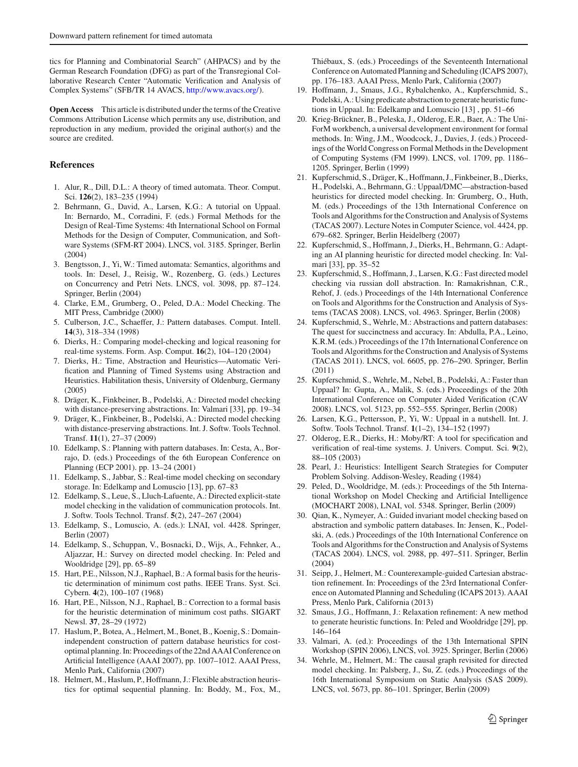tics for Planning and Combinatorial Search" (AHPACS) and by the German Research Foundation (DFG) as part of the Transregional Collaborative Research Center "Automatic Verification and Analysis of Complex Systems" (SFB/TR 14 AVACS, [http://www.avacs.org/\)](http://www.avacs.org/).

**Open Access** This article is distributed under the terms of the Creative Commons Attribution License which permits any use, distribution, and reproduction in any medium, provided the original author(s) and the source are credited.

### <span id="page-14-14"></span>**References**

- 1. Alur, R., Dill, D.L.: A theory of timed automata. Theor. Comput. Sci. **126**(2), 183–235 (1994)
- <span id="page-14-18"></span>2. Behrmann, G., David, A., Larsen, K.G.: A tutorial on Uppaal. In: Bernardo, M., Corradini, F. (eds.) Formal Methods for the Design of Real-Time Systems: 4th International School on Formal Methods for the Design of Computer, Communication, and Software Systems (SFM-RT 2004). LNCS, vol. 3185. Springer, Berlin (2004)
- <span id="page-14-15"></span>3. Bengtsson, J., Yi, W.: Timed automata: Semantics, algorithms and tools. In: Desel, J., Reisig, W., Rozenberg, G. (eds.) Lectures on Concurrency and Petri Nets. LNCS, vol. 3098, pp. 87–124. Springer, Berlin (2004)
- <span id="page-14-0"></span>4. Clarke, E.M., Grumberg, O., Peled, D.A.: Model Checking. The MIT Press, Cambridge (2000)
- <span id="page-14-12"></span>5. Culberson, J.C., Schaeffer, J.: Pattern databases. Comput. Intell. **14**(3), 318–334 (1998)
- <span id="page-14-27"></span>6. Dierks, H.: Comparing model-checking and logical reasoning for real-time systems. Form. Asp. Comput. **16**(2), 104–120 (2004)
- <span id="page-14-25"></span>7. Dierks, H.: Time, Abstraction and Heuristics—Automatic Verification and Planning of Timed Systems using Abstraction and Heuristics. Habilitation thesis, University of Oldenburg, Germany (2005)
- <span id="page-14-21"></span>8. Dräger, K., Finkbeiner, B., Podelski, A.: Directed model checking with distance-preserving abstractions. In: Valmari [33], pp. 19–34
- <span id="page-14-1"></span>9. Dräger, K., Finkbeiner, B., Podelski, A.: Directed model checking with distance-preserving abstractions. Int. J. Softw. Tools Technol. Transf. **11**(1), 27–37 (2009)
- <span id="page-14-13"></span>10. Edelkamp, S.: Planning with pattern databases. In: Cesta, A., Borrajo, D. (eds.) Proceedings of the 6th European Conference on Planning (ECP 2001). pp. 13–24 (2001)
- <span id="page-14-23"></span>11. Edelkamp, S., Jabbar, S.: Real-time model checking on secondary storage. In: Edelkamp and Lomuscio [13], pp. 67–83
- <span id="page-14-2"></span>12. Edelkamp, S., Leue, S., Lluch-Lafuente, A.: Directed explicit-state model checking in the validation of communication protocols. Int. J. Softw. Tools Technol. Transf. **5**(2), 247–267 (2004)
- 13. Edelkamp, S., Lomuscio, A. (eds.): LNAI, vol. 4428. Springer, Berlin (2007)
- <span id="page-14-3"></span>14. Edelkamp, S., Schuppan, V., Bosnacki, D., Wijs, A., Fehnker, A., Aljazzar, H.: Survey on directed model checking. In: Peled and Wooldridge [29], pp. 65–89
- <span id="page-14-10"></span>15. Hart, P.E., Nilsson, N.J., Raphael, B.: A formal basis for the heuristic determination of minimum cost paths. IEEE Trans. Syst. Sci. Cybern. **4**(2), 100–107 (1968)
- <span id="page-14-11"></span>16. Hart, P.E., Nilsson, N.J., Raphael, B.: Correction to a formal basis for the heuristic determination of minimum cost paths. SIGART Newsl. **37**, 28–29 (1972)
- <span id="page-14-20"></span>17. Haslum, P., Botea, A., Helmert, M., Bonet, B., Koenig, S.: Domainindependent construction of pattern database heuristics for costoptimal planning. In: Proceedings of the 22nd AAAI Conference on Artificial Intelligence (AAAI 2007), pp. 1007–1012. AAAI Press, Menlo Park, California (2007)
- <span id="page-14-22"></span>18. Helmert, M., Haslum, P., Hoffmann, J.: Flexible abstraction heuristics for optimal sequential planning. In: Boddy, M., Fox, M.,

Thiébaux, S. (eds.) Proceedings of the Seventeenth International Conference on Automated Planning and Scheduling (ICAPS 2007), pp. 176–183. AAAI Press, Menlo Park, California (2007)

- <span id="page-14-4"></span>19. Hoffmann, J., Smaus, J.G., Rybalchenko, A., Kupferschmid, S., Podelski, A.: Using predicate abstraction to generate heuristic functions in Uppaal. In: Edelkamp and Lomuscio [13] , pp. 51–66
- <span id="page-14-24"></span>20. Krieg-Brückner, B., Peleska, J., Olderog, E.R., Baer, A.: The Uni-ForM workbench, a universal development environment for formal methods. In: Wing, J.M., Woodcock, J., Davies, J. (eds.) Proceedings of the World Congress on Formal Methods in the Development of Computing Systems (FM 1999). LNCS, vol. 1709, pp. 1186– 1205. Springer, Berlin (1999)
- <span id="page-14-28"></span>21. Kupferschmid, S., Dräger, K., Hoffmann, J., Finkbeiner, B., Dierks, H., Podelski, A., Behrmann, G.: Uppaal/DMC—abstraction-based heuristics for directed model checking. In: Grumberg, O., Huth, M. (eds.) Proceedings of the 13th International Conference on Tools and Algorithms for the Construction and Analysis of Systems (TACAS 2007). Lecture Notes in Computer Science, vol. 4424, pp. 679–682. Springer, Berlin Heidelberg (2007)
- <span id="page-14-5"></span>22. Kupferschmid, S., Hoffmann, J., Dierks, H., Behrmann, G.: Adapting an AI planning heuristic for directed model checking. In: Valmari [33], pp. 35–52
- <span id="page-14-6"></span>23. Kupferschmid, S., Hoffmann, J., Larsen, K.G.: Fast directed model checking via russian doll abstraction. In: Ramakrishnan, C.R., Rehof, J. (eds.) Proceedings of the 14th International Conference on Tools and Algorithms for the Construction and Analysis of Systems (TACAS 2008). LNCS, vol. 4963. Springer, Berlin (2008)
- <span id="page-14-30"></span>24. Kupferschmid, S., Wehrle, M.: Abstractions and pattern databases: The quest for succinctness and accuracy. In: Abdulla, P.A., Leino, K.R.M. (eds.) Proceedings of the 17th International Conference on Tools and Algorithms for the Construction and Analysis of Systems (TACAS 2011). LNCS, vol. 6605, pp. 276–290. Springer, Berlin (2011)
- <span id="page-14-17"></span>25. Kupferschmid, S., Wehrle, M., Nebel, B., Podelski, A.: Faster than Uppaal? In: Gupta, A., Malik, S. (eds.) Proceedings of the 20th International Conference on Computer Aided Verification (CAV 2008). LNCS, vol. 5123, pp. 552–555. Springer, Berlin (2008)
- <span id="page-14-19"></span>26. Larsen, K.G., Pettersson, P., Yi, W.: Uppaal in a nutshell. Int. J. Softw. Tools Technol. Transf. **1**(1–2), 134–152 (1997)
- <span id="page-14-26"></span>27. Olderog, E.R., Dierks, H.: Moby/RT: A tool for specification and verification of real-time systems. J. Univers. Comput. Sci. **9**(2), 88–105 (2003)
- <span id="page-14-16"></span>28. Pearl, J.: Heuristics: Intelligent Search Strategies for Computer Problem Solving. Addison-Wesley, Reading (1984)
- 29. Peled, D., Wooldridge, M. (eds.): Proceedings of the 5th International Workshop on Model Checking and Artificial Intelligence (MOCHART 2008), LNAI, vol. 5348. Springer, Berlin (2009)
- <span id="page-14-7"></span>30. Qian, K., Nymeyer, A.: Guided invariant model checking based on abstraction and symbolic pattern databases. In: Jensen, K., Podelski, A. (eds.) Proceedings of the 10th International Conference on Tools and Algorithms for the Construction and Analysis of Systems (TACAS 2004). LNCS, vol. 2988, pp. 497–511. Springer, Berlin (2004)
- <span id="page-14-29"></span>31. Seipp, J., Helmert, M.: Counterexample-guided Cartesian abstraction refinement. In: Proceedings of the 23rd International Conference on Automated Planning and Scheduling (ICAPS 2013). AAAI Press, Menlo Park, California (2013)
- <span id="page-14-8"></span>32. Smaus, J.G., Hoffmann, J.: Relaxation refinement: A new method to generate heuristic functions. In: Peled and Wooldridge [29], pp. 146–164
- 33. Valmari, A. (ed.): Proceedings of the 13th International SPIN Workshop (SPIN 2006), LNCS, vol. 3925. Springer, Berlin (2006)
- <span id="page-14-9"></span>34. Wehrle, M., Helmert, M.: The causal graph revisited for directed model checking. In: Palsberg, J., Su, Z. (eds.) Proceedings of the 16th International Symposium on Static Analysis (SAS 2009). LNCS, vol. 5673, pp. 86–101. Springer, Berlin (2009)